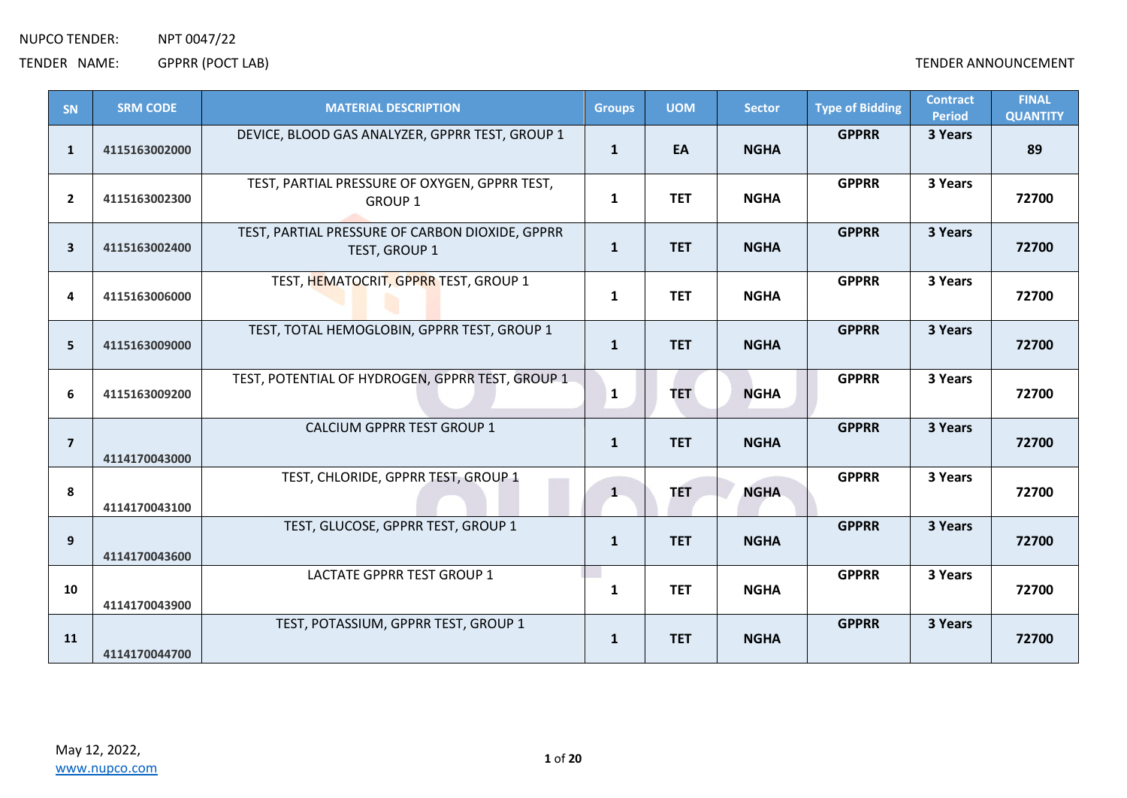| SN                      | <b>SRM CODE</b> | <b>MATERIAL DESCRIPTION</b>                                      | <b>Groups</b> | <b>UOM</b> | <b>Sector</b> | <b>Type of Bidding</b> | <b>Contract</b><br><b>Period</b> | <b>FINAL</b><br><b>QUANTITY</b> |
|-------------------------|-----------------|------------------------------------------------------------------|---------------|------------|---------------|------------------------|----------------------------------|---------------------------------|
| 1                       | 4115163002000   | DEVICE, BLOOD GAS ANALYZER, GPPRR TEST, GROUP 1                  | $\mathbf{1}$  | EA         | <b>NGHA</b>   | <b>GPPRR</b>           | 3 Years                          | 89                              |
| $\overline{2}$          | 4115163002300   | TEST, PARTIAL PRESSURE OF OXYGEN, GPPRR TEST,<br><b>GROUP 1</b>  | $\mathbf{1}$  | <b>TET</b> | <b>NGHA</b>   | <b>GPPRR</b>           | 3 Years                          | 72700                           |
| $\overline{\mathbf{3}}$ | 4115163002400   | TEST, PARTIAL PRESSURE OF CARBON DIOXIDE, GPPRR<br>TEST, GROUP 1 | $\mathbf{1}$  | <b>TET</b> | <b>NGHA</b>   | <b>GPPRR</b>           | 3 Years                          | 72700                           |
| 4                       | 4115163006000   | TEST, HEMATOCRIT, GPPRR TEST, GROUP 1                            | 1             | <b>TET</b> | <b>NGHA</b>   | <b>GPPRR</b>           | 3 Years                          | 72700                           |
| 5                       | 4115163009000   | TEST, TOTAL HEMOGLOBIN, GPPRR TEST, GROUP 1                      | $\mathbf{1}$  | <b>TET</b> | <b>NGHA</b>   | <b>GPPRR</b>           | 3 Years                          | 72700                           |
| 6                       | 4115163009200   | TEST, POTENTIAL OF HYDROGEN, GPPRR TEST, GROUP 1                 | $\mathbf{1}$  | <b>TET</b> | <b>NGHA</b>   | <b>GPPRR</b>           | 3 Years                          | 72700                           |
| $\overline{7}$          | 4114170043000   | CALCIUM GPPRR TEST GROUP 1                                       | $\mathbf{1}$  | <b>TET</b> | <b>NGHA</b>   | <b>GPPRR</b>           | 3 Years                          | 72700                           |
| 8                       | 4114170043100   | TEST, CHLORIDE, GPPRR TEST, GROUP 1                              | $\mathbf{1}$  | <b>TET</b> | <b>NGHA</b>   | <b>GPPRR</b>           | 3 Years                          | 72700                           |
| 9                       | 4114170043600   | TEST, GLUCOSE, GPPRR TEST, GROUP 1                               | $\mathbf{1}$  | <b>TET</b> | <b>NGHA</b>   | <b>GPPRR</b>           | 3 Years                          | 72700                           |
| 10                      | 4114170043900   | <b>LACTATE GPPRR TEST GROUP 1</b>                                | 1             | <b>TET</b> | <b>NGHA</b>   | <b>GPPRR</b>           | 3 Years                          | 72700                           |
| <b>11</b>               | 4114170044700   | TEST, POTASSIUM, GPPRR TEST, GROUP 1                             | $\mathbf{1}$  | <b>TET</b> | <b>NGHA</b>   | <b>GPPRR</b>           | 3 Years                          | 72700                           |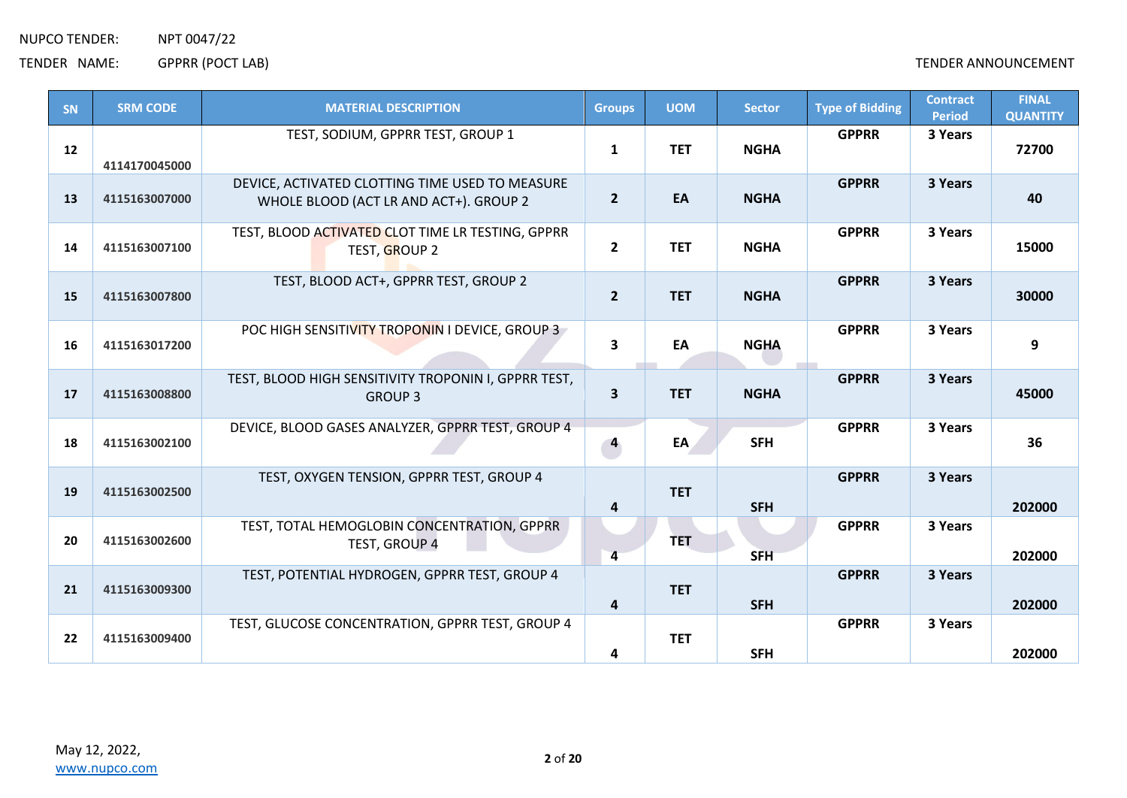| <b>SN</b> | <b>SRM CODE</b> | <b>MATERIAL DESCRIPTION</b>                                                               | <b>Groups</b>           | <b>UOM</b> | <b>Sector</b> | <b>Type of Bidding</b> | <b>Contract</b><br><b>Period</b> | <b>FINAL</b><br><b>QUANTITY</b> |
|-----------|-----------------|-------------------------------------------------------------------------------------------|-------------------------|------------|---------------|------------------------|----------------------------------|---------------------------------|
| 12        | 4114170045000   | TEST, SODIUM, GPPRR TEST, GROUP 1                                                         | $\mathbf{1}$            | <b>TET</b> | <b>NGHA</b>   | <b>GPPRR</b>           | 3 Years                          | 72700                           |
| 13        | 4115163007000   | DEVICE, ACTIVATED CLOTTING TIME USED TO MEASURE<br>WHOLE BLOOD (ACT LR AND ACT+). GROUP 2 | $2^{\circ}$             | EA         | <b>NGHA</b>   | <b>GPPRR</b>           | 3 Years                          | 40                              |
| 14        | 4115163007100   | TEST, BLOOD ACTIVATED CLOT TIME LR TESTING, GPPRR<br>TEST, GROUP 2                        | $\overline{2}$          | <b>TET</b> | <b>NGHA</b>   | <b>GPPRR</b>           | 3 Years                          | 15000                           |
| 15        | 4115163007800   | TEST, BLOOD ACT+, GPPRR TEST, GROUP 2                                                     | $2^{\circ}$             | <b>TET</b> | <b>NGHA</b>   | <b>GPPRR</b>           | 3 Years                          | 30000                           |
| 16        | 4115163017200   | POC HIGH SENSITIVITY TROPONIN I DEVICE, GROUP 3                                           | $\overline{\mathbf{3}}$ | EA         | <b>NGHA</b>   | <b>GPPRR</b>           | 3 Years                          | 9                               |
| 17        | 4115163008800   | TEST, BLOOD HIGH SENSITIVITY TROPONIN I, GPPRR TEST,<br><b>GROUP 3</b>                    | $\overline{\mathbf{3}}$ | <b>TET</b> | <b>NGHA</b>   | <b>GPPRR</b>           | 3 Years                          | 45000                           |
| 18        | 4115163002100   | DEVICE, BLOOD GASES ANALYZER, GPPRR TEST, GROUP 4                                         | $\overline{4}$          | EA         | <b>SFH</b>    | <b>GPPRR</b>           | 3 Years                          | 36                              |
| 19        | 4115163002500   | TEST, OXYGEN TENSION, GPPRR TEST, GROUP 4                                                 | 4                       | <b>TET</b> | <b>SFH</b>    | <b>GPPRR</b>           | 3 Years                          | 202000                          |
| 20        | 4115163002600   | TEST, TOTAL HEMOGLOBIN CONCENTRATION, GPPRR<br>TEST, GROUP 4                              | $\overline{4}$          | <b>TET</b> | <b>SFH</b>    | <b>GPPRR</b>           | 3 Years                          | 202000                          |
| 21        | 4115163009300   | TEST, POTENTIAL HYDROGEN, GPPRR TEST, GROUP 4                                             | $\overline{\mathbf{a}}$ | <b>TET</b> | <b>SFH</b>    | <b>GPPRR</b>           | 3 Years                          | 202000                          |
| 22        | 4115163009400   | TEST, GLUCOSE CONCENTRATION, GPPRR TEST, GROUP 4                                          | 4                       | <b>TET</b> | <b>SFH</b>    | <b>GPPRR</b>           | 3 Years                          | 202000                          |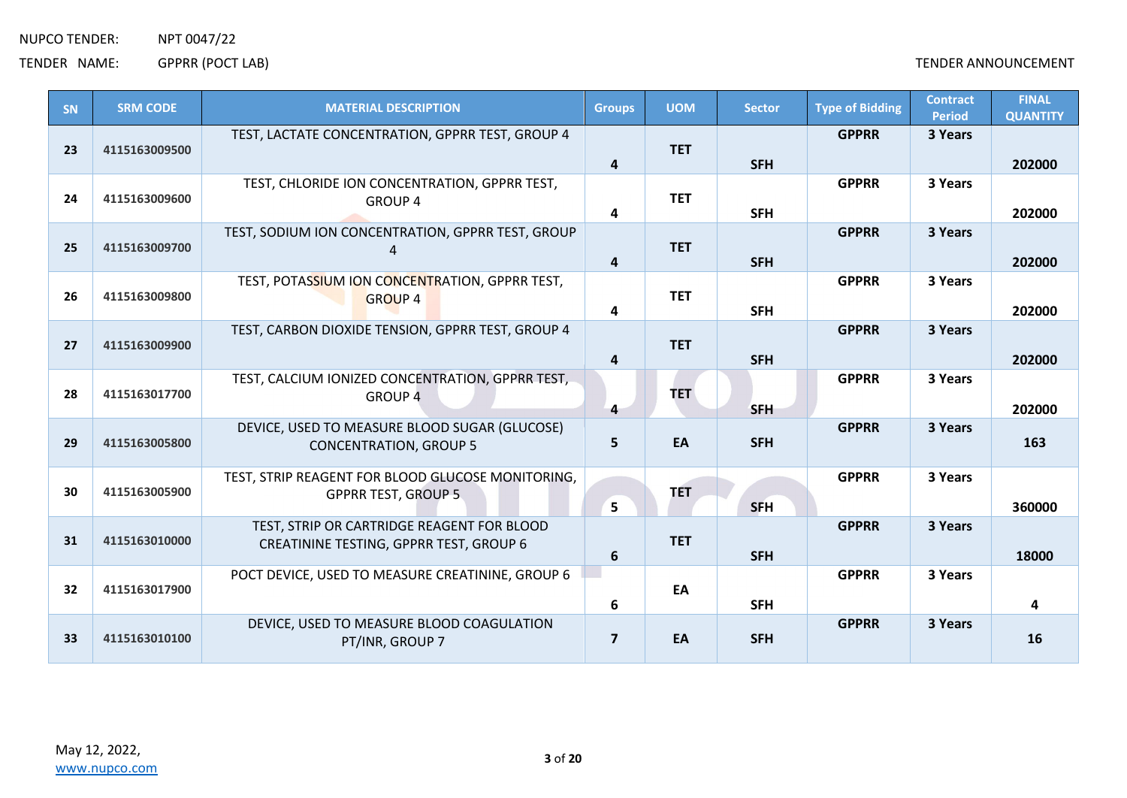| SN | <b>SRM CODE</b> | <b>MATERIAL DESCRIPTION</b>                                                           | <b>Groups</b>           | <b>UOM</b> | <b>Sector</b> | <b>Type of Bidding</b> | <b>Contract</b><br><b>Period</b> | <b>FINAL</b><br><b>QUANTITY</b> |
|----|-----------------|---------------------------------------------------------------------------------------|-------------------------|------------|---------------|------------------------|----------------------------------|---------------------------------|
| 23 | 4115163009500   | TEST, LACTATE CONCENTRATION, GPPRR TEST, GROUP 4                                      | 4                       | <b>TET</b> | <b>SFH</b>    | <b>GPPRR</b>           | 3 Years                          | 202000                          |
| 24 | 4115163009600   | TEST, CHLORIDE ION CONCENTRATION, GPPRR TEST,<br><b>GROUP 4</b>                       | 4                       | <b>TET</b> | <b>SFH</b>    | <b>GPPRR</b>           | 3 Years                          | 202000                          |
| 25 | 4115163009700   | TEST, SODIUM ION CONCENTRATION, GPPRR TEST, GROUP                                     | 4                       | <b>TET</b> | <b>SFH</b>    | <b>GPPRR</b>           | 3 Years                          | 202000                          |
| 26 | 4115163009800   | TEST, POTASSIUM ION CONCENTRATION, GPPRR TEST,<br><b>GROUP 4</b>                      | 4                       | <b>TET</b> | <b>SFH</b>    | <b>GPPRR</b>           | 3 Years                          | 202000                          |
| 27 | 4115163009900   | TEST, CARBON DIOXIDE TENSION, GPPRR TEST, GROUP 4                                     | $\overline{\mathbf{4}}$ | <b>TET</b> | <b>SFH</b>    | <b>GPPRR</b>           | 3 Years                          | 202000                          |
| 28 | 4115163017700   | TEST, CALCIUM IONIZED CONCENTRATION, GPPRR TEST,<br><b>GROUP 4</b>                    | $\overline{4}$          | <b>TET</b> | <b>SFH</b>    | <b>GPPRR</b>           | 3 Years                          | 202000                          |
| 29 | 4115163005800   | DEVICE, USED TO MEASURE BLOOD SUGAR (GLUCOSE)<br><b>CONCENTRATION, GROUP 5</b>        | 5                       | EA         | <b>SFH</b>    | <b>GPPRR</b>           | 3 Years                          | 163                             |
| 30 | 4115163005900   | TEST, STRIP REAGENT FOR BLOOD GLUCOSE MONITORING,<br><b>GPPRR TEST, GROUP 5</b>       | 5                       | <b>TET</b> | <b>SFH</b>    | <b>GPPRR</b>           | 3 Years                          | 360000                          |
| 31 | 4115163010000   | TEST, STRIP OR CARTRIDGE REAGENT FOR BLOOD<br>CREATININE TESTING, GPPRR TEST, GROUP 6 | 6                       | <b>TET</b> | <b>SFH</b>    | <b>GPPRR</b>           | 3 Years                          | 18000                           |
| 32 | 4115163017900   | POCT DEVICE, USED TO MEASURE CREATININE, GROUP 6                                      | 6                       | EA         | <b>SFH</b>    | <b>GPPRR</b>           | 3 Years                          | 4                               |
| 33 | 4115163010100   | DEVICE, USED TO MEASURE BLOOD COAGULATION<br>PT/INR, GROUP 7                          | $\overline{\mathbf{z}}$ | EA         | <b>SFH</b>    | <b>GPPRR</b>           | 3 Years                          | 16                              |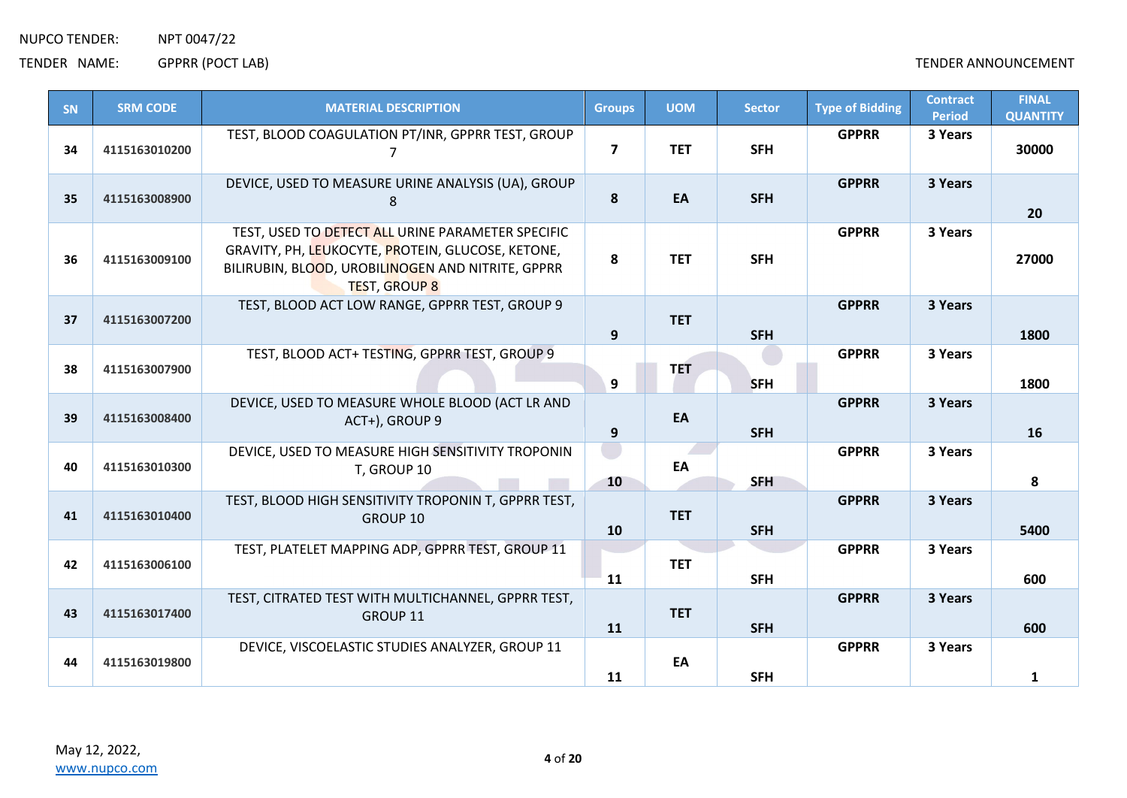TENDER NAME: GPPRR (POCT LAB) TENDER ANNOUNCEMENT

| SN | <b>SRM CODE</b> | <b>MATERIAL DESCRIPTION</b>                                                                                                                                                         | <b>Groups</b>  | <b>UOM</b> | <b>Sector</b> | <b>Type of Bidding</b> | <b>Contract</b><br><b>Period</b> | <b>FINAL</b><br><b>QUANTITY</b> |
|----|-----------------|-------------------------------------------------------------------------------------------------------------------------------------------------------------------------------------|----------------|------------|---------------|------------------------|----------------------------------|---------------------------------|
| 34 | 4115163010200   | TEST, BLOOD COAGULATION PT/INR, GPPRR TEST, GROUP                                                                                                                                   | $\overline{7}$ | <b>TET</b> | <b>SFH</b>    | <b>GPPRR</b>           | 3 Years                          | 30000                           |
| 35 | 4115163008900   | DEVICE, USED TO MEASURE URINE ANALYSIS (UA), GROUP<br>8                                                                                                                             | 8              | EA         | <b>SFH</b>    | <b>GPPRR</b>           | 3 Years                          | 20                              |
| 36 | 4115163009100   | TEST, USED TO DETECT ALL URINE PARAMETER SPECIFIC<br>GRAVITY, PH, LEUKOCYTE, PROTEIN, GLUCOSE, KETONE,<br>BILIRUBIN, BLOOD, UROBILINOGEN AND NITRITE, GPPRR<br><b>TEST, GROUP 8</b> | 8              | <b>TET</b> | <b>SFH</b>    | <b>GPPRR</b>           | 3 Years                          | 27000                           |
| 37 | 4115163007200   | TEST, BLOOD ACT LOW RANGE, GPPRR TEST, GROUP 9                                                                                                                                      | 9              | <b>TET</b> | <b>SFH</b>    | <b>GPPRR</b>           | 3 Years                          | 1800                            |
| 38 | 4115163007900   | TEST, BLOOD ACT+ TESTING, GPPRR TEST, GROUP 9                                                                                                                                       | 9              | <b>TET</b> | <b>SFH</b>    | <b>GPPRR</b>           | 3 Years                          | 1800                            |
| 39 | 4115163008400   | DEVICE, USED TO MEASURE WHOLE BLOOD (ACT LR AND<br>ACT+), GROUP 9                                                                                                                   | 9              | EA         | <b>SFH</b>    | <b>GPPRR</b>           | 3 Years                          | 16                              |
| 40 | 4115163010300   | DEVICE, USED TO MEASURE HIGH SENSITIVITY TROPONIN<br>T, GROUP 10                                                                                                                    | 10             | EA         | <b>SFH</b>    | <b>GPPRR</b>           | 3 Years                          | 8                               |
| 41 | 4115163010400   | TEST, BLOOD HIGH SENSITIVITY TROPONIN T, GPPRR TEST,<br>GROUP 10                                                                                                                    | 10             | <b>TET</b> | <b>SFH</b>    | <b>GPPRR</b>           | 3 Years                          | 5400                            |
| 42 | 4115163006100   | TEST, PLATELET MAPPING ADP, GPPRR TEST, GROUP 11                                                                                                                                    | 11             | <b>TET</b> | <b>SFH</b>    | <b>GPPRR</b>           | 3 Years                          | 600                             |
| 43 | 4115163017400   | TEST, CITRATED TEST WITH MULTICHANNEL, GPPRR TEST,<br>GROUP 11                                                                                                                      | 11             | <b>TET</b> | <b>SFH</b>    | <b>GPPRR</b>           | 3 Years                          | 600                             |
| 44 | 4115163019800   | DEVICE, VISCOELASTIC STUDIES ANALYZER, GROUP 11                                                                                                                                     | 11             | EA         | <b>SFH</b>    | <b>GPPRR</b>           | 3 Years                          | 1                               |

May 12, 2022, [www.nupco.com](http://www.nupco.com/)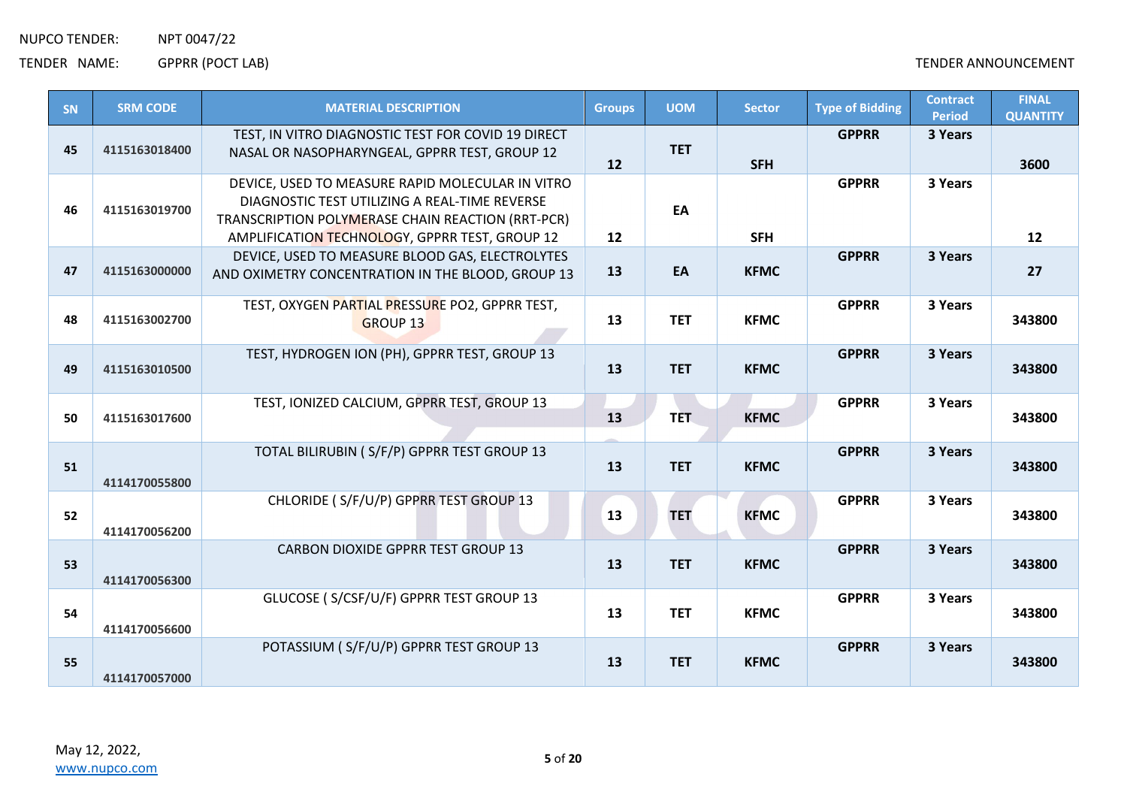| SN | <b>SRM CODE</b> | <b>MATERIAL DESCRIPTION</b>                                                                                                                                                                              | <b>Groups</b>     | <b>UOM</b> | <b>Sector</b> | <b>Type of Bidding</b> | <b>Contract</b><br><b>Period</b> | <b>FINAL</b><br><b>QUANTITY</b> |
|----|-----------------|----------------------------------------------------------------------------------------------------------------------------------------------------------------------------------------------------------|-------------------|------------|---------------|------------------------|----------------------------------|---------------------------------|
| 45 | 4115163018400   | TEST, IN VITRO DIAGNOSTIC TEST FOR COVID 19 DIRECT<br>NASAL OR NASOPHARYNGEAL, GPPRR TEST, GROUP 12                                                                                                      | 12                | <b>TET</b> | <b>SFH</b>    | <b>GPPRR</b>           | 3 Years                          | 3600                            |
| 46 | 4115163019700   | DEVICE, USED TO MEASURE RAPID MOLECULAR IN VITRO<br>DIAGNOSTIC TEST UTILIZING A REAL-TIME REVERSE<br>TRANSCRIPTION POLYMERASE CHAIN REACTION (RRT-PCR)<br>AMPLIFICATION TECHNOLOGY, GPPRR TEST, GROUP 12 | $12 \overline{ }$ | EA         | <b>SFH</b>    | <b>GPPRR</b>           | 3 Years                          | $12 \overline{ }$               |
| 47 | 4115163000000   | DEVICE, USED TO MEASURE BLOOD GAS, ELECTROLYTES<br>AND OXIMETRY CONCENTRATION IN THE BLOOD, GROUP 13                                                                                                     | 13                | EA         | <b>KFMC</b>   | <b>GPPRR</b>           | 3 Years                          | 27                              |
| 48 | 4115163002700   | TEST, OXYGEN PARTIAL PRESSURE PO2, GPPRR TEST,<br><b>GROUP 13</b>                                                                                                                                        | 13                | <b>TET</b> | <b>KFMC</b>   | <b>GPPRR</b>           | 3 Years                          | 343800                          |
| 49 | 4115163010500   | TEST, HYDROGEN ION (PH), GPPRR TEST, GROUP 13                                                                                                                                                            | 13                | <b>TET</b> | <b>KFMC</b>   | <b>GPPRR</b>           | 3 Years                          | 343800                          |
| 50 | 4115163017600   | TEST, IONIZED CALCIUM, GPPRR TEST, GROUP 13                                                                                                                                                              | 13                | TET.       | <b>KFMC</b>   | <b>GPPRR</b>           | 3 Years                          | 343800                          |
| 51 | 4114170055800   | TOTAL BILIRUBIN ( S/F/P) GPPRR TEST GROUP 13                                                                                                                                                             | 13                | <b>TET</b> | <b>KFMC</b>   | <b>GPPRR</b>           | 3 Years                          | 343800                          |
| 52 | 4114170056200   | CHLORIDE (S/F/U/P) GPPRR TEST GROUP 13                                                                                                                                                                   | 13                | <b>TET</b> | <b>KFMC</b>   | <b>GPPRR</b>           | 3 Years                          | 343800                          |
| 53 | 4114170056300   | <b>CARBON DIOXIDE GPPRR TEST GROUP 13</b>                                                                                                                                                                | 13                | <b>TET</b> | <b>KFMC</b>   | <b>GPPRR</b>           | 3 Years                          | 343800                          |
| 54 | 4114170056600   | GLUCOSE (S/CSF/U/F) GPPRR TEST GROUP 13                                                                                                                                                                  | 13                | <b>TET</b> | <b>KFMC</b>   | <b>GPPRR</b>           | 3 Years                          | 343800                          |
| 55 | 4114170057000   | POTASSIUM (S/F/U/P) GPPRR TEST GROUP 13                                                                                                                                                                  | 13                | <b>TET</b> | <b>KFMC</b>   | <b>GPPRR</b>           | 3 Years                          | 343800                          |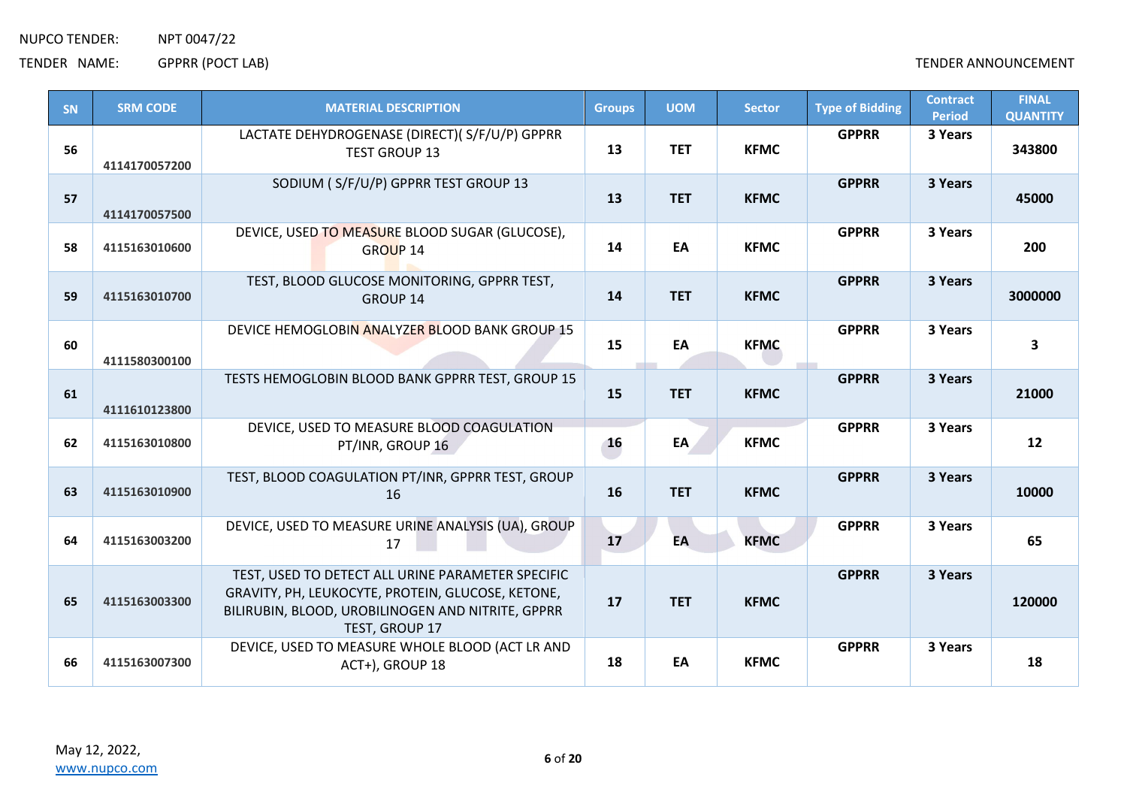| SN | <b>SRM CODE</b> | <b>MATERIAL DESCRIPTION</b>                                                                                                                                                   | <b>Groups</b> | <b>UOM</b> | <b>Sector</b> | <b>Type of Bidding</b> | <b>Contract</b><br><b>Period</b> | <b>FINAL</b><br><b>QUANTITY</b> |
|----|-----------------|-------------------------------------------------------------------------------------------------------------------------------------------------------------------------------|---------------|------------|---------------|------------------------|----------------------------------|---------------------------------|
| 56 | 4114170057200   | LACTATE DEHYDROGENASE (DIRECT)(S/F/U/P) GPPRR<br><b>TEST GROUP 13</b>                                                                                                         | 13            | <b>TET</b> | <b>KFMC</b>   | <b>GPPRR</b>           | 3 Years                          | 343800                          |
| 57 | 4114170057500   | SODIUM (S/F/U/P) GPPRR TEST GROUP 13                                                                                                                                          | 13            | <b>TET</b> | <b>KFMC</b>   | <b>GPPRR</b>           | 3 Years                          | 45000                           |
| 58 | 4115163010600   | DEVICE, USED TO MEASURE BLOOD SUGAR (GLUCOSE),<br><b>GROUP 14</b>                                                                                                             | 14            | EA         | <b>KFMC</b>   | <b>GPPRR</b>           | 3 Years                          | 200                             |
| 59 | 4115163010700   | TEST, BLOOD GLUCOSE MONITORING, GPPRR TEST,<br><b>GROUP 14</b>                                                                                                                | 14            | <b>TET</b> | <b>KFMC</b>   | <b>GPPRR</b>           | 3 Years                          | 3000000                         |
| 60 | 4111580300100   | DEVICE HEMOGLOBIN ANALYZER BLOOD BANK GROUP 15                                                                                                                                | 15            | EA         | <b>KFMC</b>   | <b>GPPRR</b>           | 3 Years                          | 3                               |
| 61 | 4111610123800   | TESTS HEMOGLOBIN BLOOD BANK GPPRR TEST, GROUP 15                                                                                                                              | 15            | <b>TET</b> | <b>KFMC</b>   | <b>GPPRR</b>           | 3 Years                          | 21000                           |
| 62 | 4115163010800   | DEVICE, USED TO MEASURE BLOOD COAGULATION<br>PT/INR, GROUP 16                                                                                                                 | 16            | EA         | <b>KFMC</b>   | <b>GPPRR</b>           | 3 Years                          | 12                              |
| 63 | 4115163010900   | TEST, BLOOD COAGULATION PT/INR, GPPRR TEST, GROUP<br>16                                                                                                                       | 16            | <b>TET</b> | <b>KFMC</b>   | <b>GPPRR</b>           | 3 Years                          | 10000                           |
| 64 | 4115163003200   | DEVICE, USED TO MEASURE URINE ANALYSIS (UA), GROUP<br>17                                                                                                                      | 17            | EA         | <b>KFMC</b>   | <b>GPPRR</b>           | 3 Years                          | 65                              |
| 65 | 4115163003300   | TEST, USED TO DETECT ALL URINE PARAMETER SPECIFIC<br>GRAVITY, PH, LEUKOCYTE, PROTEIN, GLUCOSE, KETONE,<br>BILIRUBIN, BLOOD, UROBILINOGEN AND NITRITE, GPPRR<br>TEST, GROUP 17 | 17            | <b>TET</b> | <b>KFMC</b>   | <b>GPPRR</b>           | 3 Years                          | 120000                          |
| 66 | 4115163007300   | DEVICE, USED TO MEASURE WHOLE BLOOD (ACT LR AND<br>ACT+), GROUP 18                                                                                                            | 18            | EA         | <b>KFMC</b>   | <b>GPPRR</b>           | 3 Years                          | 18                              |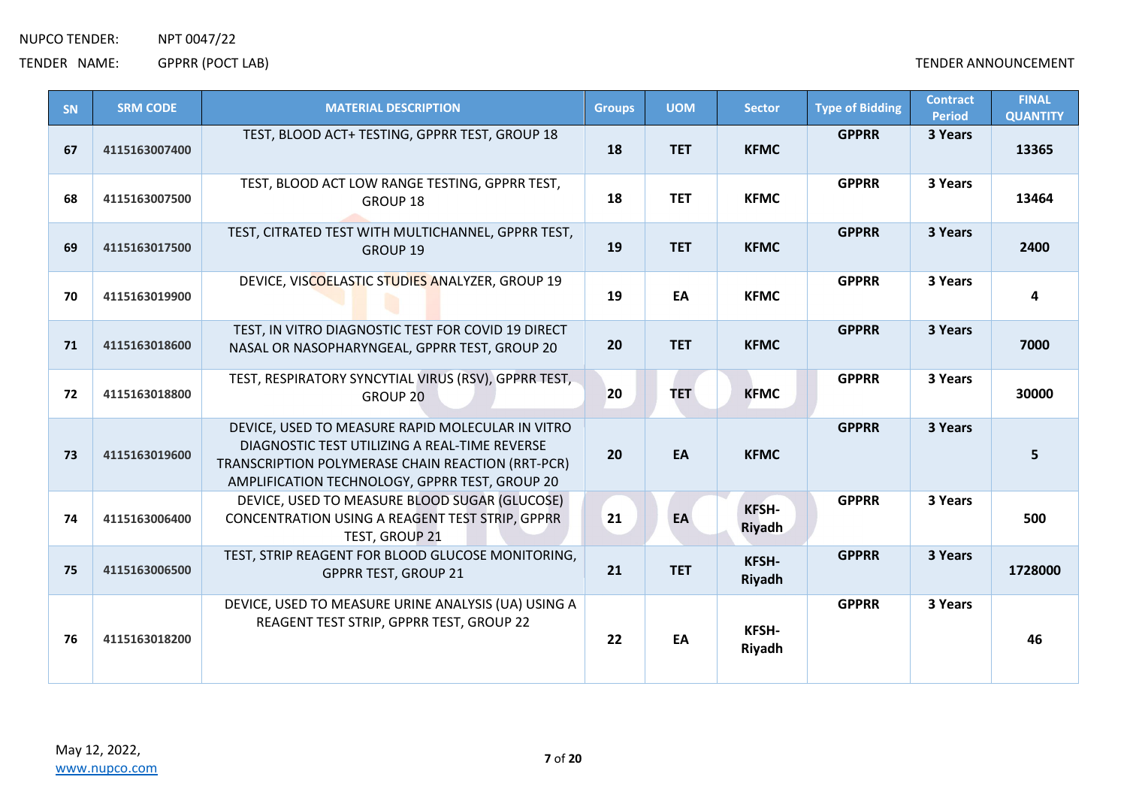| SN | <b>SRM CODE</b> | <b>MATERIAL DESCRIPTION</b>                                                                                                                                                                              | <b>Groups</b> | <b>UOM</b> | <b>Sector</b>                 | <b>Type of Bidding</b> | <b>Contract</b><br><b>Period</b> | <b>FINAL</b><br><b>QUANTITY</b> |
|----|-----------------|----------------------------------------------------------------------------------------------------------------------------------------------------------------------------------------------------------|---------------|------------|-------------------------------|------------------------|----------------------------------|---------------------------------|
| 67 | 4115163007400   | TEST, BLOOD ACT+ TESTING, GPPRR TEST, GROUP 18                                                                                                                                                           | 18            | <b>TET</b> | <b>KFMC</b>                   | <b>GPPRR</b>           | 3 Years                          | 13365                           |
| 68 | 4115163007500   | TEST, BLOOD ACT LOW RANGE TESTING, GPPRR TEST,<br>GROUP 18                                                                                                                                               | 18            | <b>TET</b> | <b>KFMC</b>                   | <b>GPPRR</b>           | 3 Years                          | 13464                           |
| 69 | 4115163017500   | TEST, CITRATED TEST WITH MULTICHANNEL, GPPRR TEST,<br><b>GROUP 19</b>                                                                                                                                    | 19            | <b>TET</b> | <b>KFMC</b>                   | <b>GPPRR</b>           | 3 Years                          | 2400                            |
| 70 | 4115163019900   | DEVICE, VISCOELASTIC STUDIES ANALYZER, GROUP 19                                                                                                                                                          | 19            | EA         | <b>KFMC</b>                   | <b>GPPRR</b>           | 3 Years                          | $\overline{\mathbf{4}}$         |
| 71 | 4115163018600   | TEST, IN VITRO DIAGNOSTIC TEST FOR COVID 19 DIRECT<br>NASAL OR NASOPHARYNGEAL, GPPRR TEST, GROUP 20                                                                                                      | 20            | <b>TET</b> | <b>KFMC</b>                   | <b>GPPRR</b>           | 3 Years                          | 7000                            |
| 72 | 4115163018800   | TEST, RESPIRATORY SYNCYTIAL VIRUS (RSV), GPPRR TEST,<br>GROUP 20                                                                                                                                         | 20            | <b>TET</b> | <b>KFMC</b>                   | <b>GPPRR</b>           | 3 Years                          | 30000                           |
| 73 | 4115163019600   | DEVICE, USED TO MEASURE RAPID MOLECULAR IN VITRO<br>DIAGNOSTIC TEST UTILIZING A REAL-TIME REVERSE<br>TRANSCRIPTION POLYMERASE CHAIN REACTION (RRT-PCR)<br>AMPLIFICATION TECHNOLOGY, GPPRR TEST, GROUP 20 | 20            | EA         | <b>KFMC</b>                   | <b>GPPRR</b>           | 3 Years                          | 5                               |
| 74 | 4115163006400   | DEVICE, USED TO MEASURE BLOOD SUGAR (GLUCOSE)<br>CONCENTRATION USING A REAGENT TEST STRIP, GPPRR<br>TEST, GROUP 21                                                                                       | 21            | EA         | <b>KFSH-</b><br>Riyadh        | <b>GPPRR</b>           | 3 Years                          | 500                             |
| 75 | 4115163006500   | TEST, STRIP REAGENT FOR BLOOD GLUCOSE MONITORING,<br><b>GPPRR TEST, GROUP 21</b>                                                                                                                         | 21            | <b>TET</b> | <b>KFSH-</b><br><b>Riyadh</b> | <b>GPPRR</b>           | 3 Years                          | 1728000                         |
| 76 | 4115163018200   | DEVICE, USED TO MEASURE URINE ANALYSIS (UA) USING A<br>REAGENT TEST STRIP, GPPRR TEST, GROUP 22                                                                                                          | 22            | EA         | <b>KFSH-</b><br>Riyadh        | <b>GPPRR</b>           | 3 Years                          | 46                              |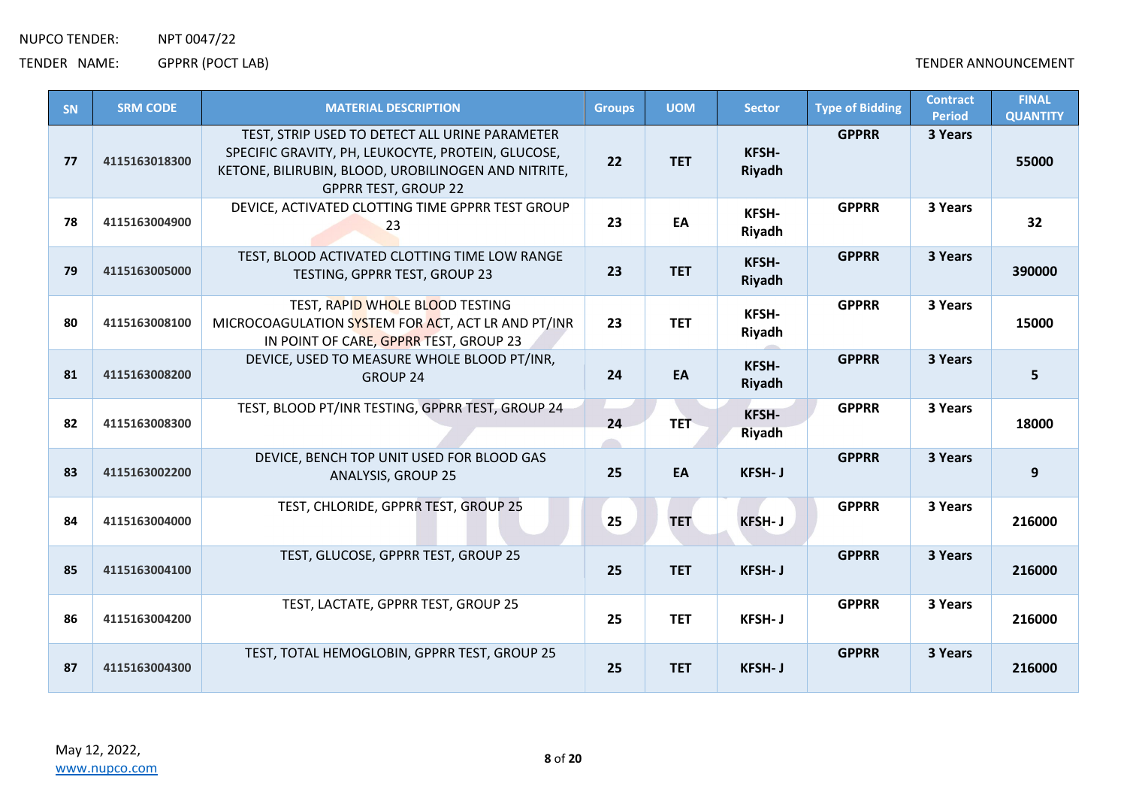| SN | <b>SRM CODE</b> | <b>MATERIAL DESCRIPTION</b>                                                                                                                                                                | <b>Groups</b> | <b>UOM</b>  | <b>Sector</b>                 | <b>Type of Bidding</b> | <b>Contract</b><br><b>Period</b> | <b>FINAL</b><br><b>QUANTITY</b> |
|----|-----------------|--------------------------------------------------------------------------------------------------------------------------------------------------------------------------------------------|---------------|-------------|-------------------------------|------------------------|----------------------------------|---------------------------------|
| 77 | 4115163018300   | TEST, STRIP USED TO DETECT ALL URINE PARAMETER<br>SPECIFIC GRAVITY, PH, LEUKOCYTE, PROTEIN, GLUCOSE,<br>KETONE, BILIRUBIN, BLOOD, UROBILINOGEN AND NITRITE,<br><b>GPPRR TEST, GROUP 22</b> | 22            | <b>TET</b>  | KFSH-<br><b>Riyadh</b>        | <b>GPPRR</b>           | 3 Years                          | 55000                           |
| 78 | 4115163004900   | DEVICE, ACTIVATED CLOTTING TIME GPPRR TEST GROUP<br>23                                                                                                                                     | 23            | EA          | <b>KFSH-</b><br>Riyadh        | <b>GPPRR</b>           | 3 Years                          | 32                              |
| 79 | 4115163005000   | TEST, BLOOD ACTIVATED CLOTTING TIME LOW RANGE<br>TESTING, GPPRR TEST, GROUP 23                                                                                                             | 23            | <b>TET</b>  | KFSH-<br><b>Riyadh</b>        | <b>GPPRR</b>           | 3 Years                          | 390000                          |
| 80 | 4115163008100   | TEST, RAPID WHOLE BLOOD TESTING<br>MICROCOAGULATION SYSTEM FOR ACT, ACT LR AND PT/INR<br>IN POINT OF CARE, GPPRR TEST, GROUP 23                                                            | 23            | <b>TET</b>  | <b>KFSH-</b><br>Riyadh        | <b>GPPRR</b>           | 3 Years                          | 15000                           |
| 81 | 4115163008200   | DEVICE, USED TO MEASURE WHOLE BLOOD PT/INR,<br><b>GROUP 24</b>                                                                                                                             | 24            | EA          | KFSH-<br><b>Riyadh</b>        | <b>GPPRR</b>           | 3 Years                          | 5                               |
| 82 | 4115163008300   | TEST, BLOOD PT/INR TESTING, GPPRR TEST, GROUP 24                                                                                                                                           | 24            | <b>TET-</b> | <b>KFSH-</b><br><b>Riyadh</b> | <b>GPPRR</b>           | 3 Years                          | 18000                           |
| 83 | 4115163002200   | DEVICE, BENCH TOP UNIT USED FOR BLOOD GAS<br><b>ANALYSIS, GROUP 25</b>                                                                                                                     | 25            | EA          | <b>KFSH-J</b>                 | <b>GPPRR</b>           | 3 Years                          | 9                               |
| 84 | 4115163004000   | TEST, CHLORIDE, GPPRR TEST, GROUP 25                                                                                                                                                       | 25            | <b>TET</b>  | <b>KFSH-J</b>                 | <b>GPPRR</b>           | 3 Years                          | 216000                          |
| 85 | 4115163004100   | TEST, GLUCOSE, GPPRR TEST, GROUP 25                                                                                                                                                        | 25            | <b>TET</b>  | KFSH-J                        | <b>GPPRR</b>           | 3 Years                          | 216000                          |
| 86 | 4115163004200   | TEST, LACTATE, GPPRR TEST, GROUP 25                                                                                                                                                        | 25            | <b>TET</b>  | <b>KFSH-J</b>                 | <b>GPPRR</b>           | 3 Years                          | 216000                          |
| 87 | 4115163004300   | TEST, TOTAL HEMOGLOBIN, GPPRR TEST, GROUP 25                                                                                                                                               | 25            | <b>TET</b>  | <b>KFSH-J</b>                 | <b>GPPRR</b>           | 3 Years                          | 216000                          |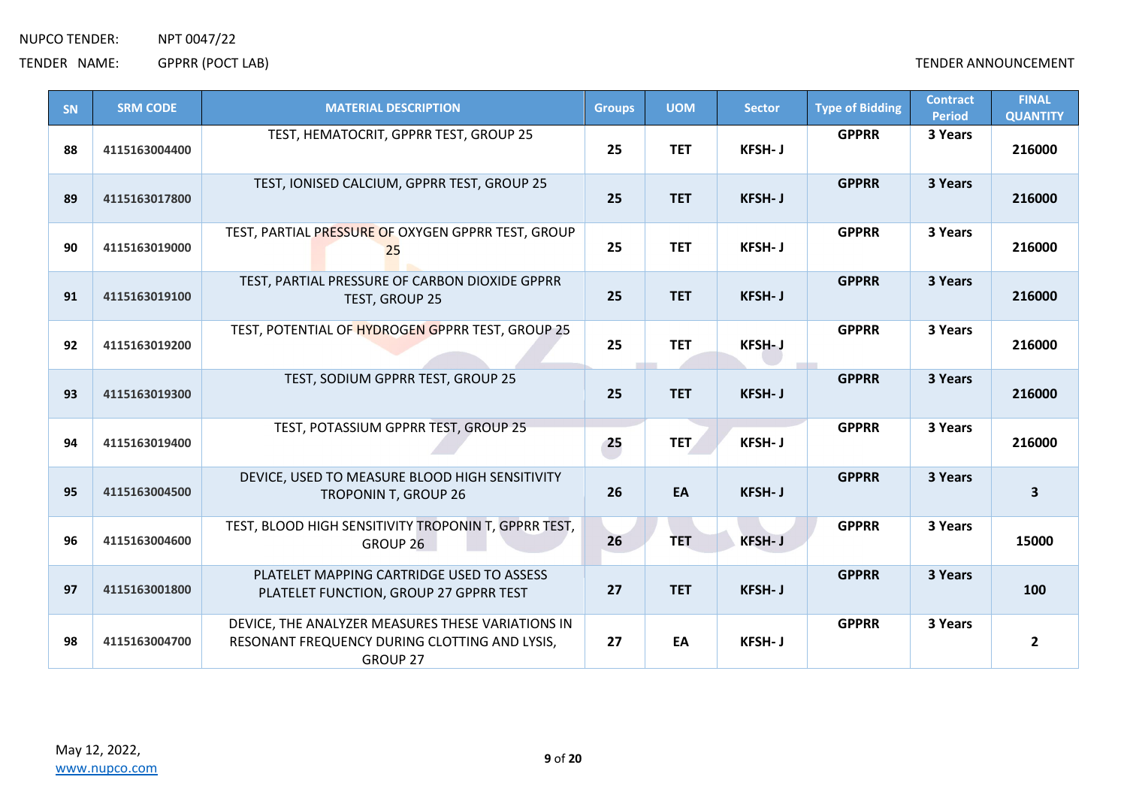| SN | <b>SRM CODE</b> | <b>MATERIAL DESCRIPTION</b>                                                                                    | <b>Groups</b> | <b>UOM</b> | <b>Sector</b> | <b>Type of Bidding</b> | <b>Contract</b><br><b>Period</b> | <b>FINAL</b><br><b>QUANTITY</b> |
|----|-----------------|----------------------------------------------------------------------------------------------------------------|---------------|------------|---------------|------------------------|----------------------------------|---------------------------------|
| 88 | 4115163004400   | TEST, HEMATOCRIT, GPPRR TEST, GROUP 25                                                                         | 25            | <b>TET</b> | <b>KFSH-J</b> | <b>GPPRR</b>           | 3 Years                          | 216000                          |
| 89 | 4115163017800   | TEST, IONISED CALCIUM, GPPRR TEST, GROUP 25                                                                    | 25            | <b>TET</b> | <b>KFSH-J</b> | <b>GPPRR</b>           | 3 Years                          | 216000                          |
| 90 | 4115163019000   | TEST, PARTIAL PRESSURE OF OXYGEN GPPRR TEST, GROUP<br>25                                                       | 25            | <b>TET</b> | <b>KFSH-J</b> | <b>GPPRR</b>           | 3 Years                          | 216000                          |
| 91 | 4115163019100   | TEST, PARTIAL PRESSURE OF CARBON DIOXIDE GPPRR<br>TEST, GROUP 25                                               | 25            | <b>TET</b> | <b>KFSH-J</b> | <b>GPPRR</b>           | 3 Years                          | 216000                          |
| 92 | 4115163019200   | TEST, POTENTIAL OF HYDROGEN GPPRR TEST, GROUP 25                                                               | 25            | <b>TET</b> | KFSH-J        | <b>GPPRR</b>           | 3 Years                          | 216000                          |
| 93 | 4115163019300   | TEST, SODIUM GPPRR TEST, GROUP 25                                                                              | 25            | <b>TET</b> | KFSH-J        | <b>GPPRR</b>           | 3 Years                          | 216000                          |
| 94 | 4115163019400   | TEST, POTASSIUM GPPRR TEST, GROUP 25                                                                           | 25            | <b>TET</b> | <b>KFSH-J</b> | <b>GPPRR</b>           | 3 Years                          | 216000                          |
| 95 | 4115163004500   | DEVICE, USED TO MEASURE BLOOD HIGH SENSITIVITY<br>TROPONIN T, GROUP 26                                         | 26            | EA         | KFSH-J        | <b>GPPRR</b>           | 3 Years                          | 3                               |
| 96 | 4115163004600   | TEST, BLOOD HIGH SENSITIVITY TROPONIN T, GPPRR TEST,<br>GROUP 26                                               | 26            | <b>TET</b> | <b>KFSH-J</b> | <b>GPPRR</b>           | 3 Years                          | 15000                           |
| 97 | 4115163001800   | PLATELET MAPPING CARTRIDGE USED TO ASSESS<br>PLATELET FUNCTION, GROUP 27 GPPRR TEST                            | 27            | <b>TET</b> | <b>KFSH-J</b> | <b>GPPRR</b>           | 3 Years                          | 100                             |
| 98 | 4115163004700   | DEVICE, THE ANALYZER MEASURES THESE VARIATIONS IN<br>RESONANT FREQUENCY DURING CLOTTING AND LYSIS,<br>GROUP 27 | 27            | EA         | <b>KFSH-J</b> | <b>GPPRR</b>           | 3 Years                          | $\overline{2}$                  |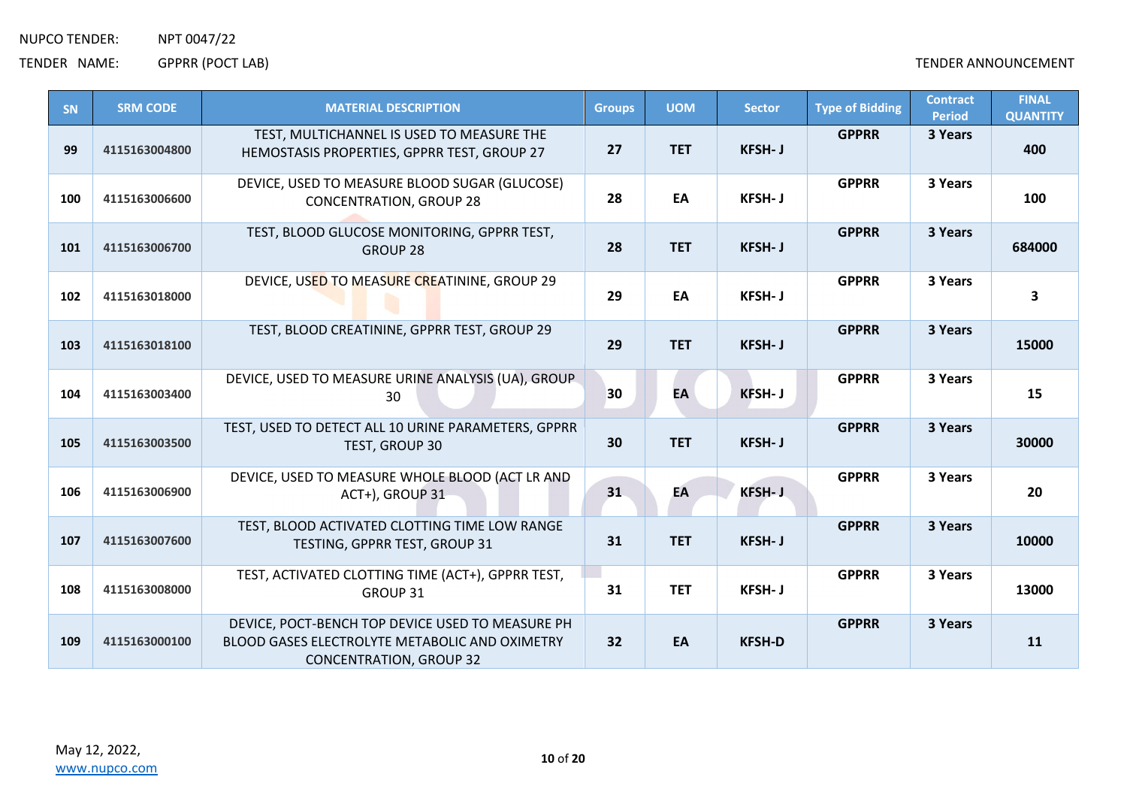| SN  | <b>SRM CODE</b> | <b>MATERIAL DESCRIPTION</b>                                                                                                                 | <b>Groups</b> | <b>UOM</b> | <b>Sector</b> | <b>Type of Bidding</b> | <b>Contract</b><br><b>Period</b> | <b>FINAL</b><br><b>QUANTITY</b> |
|-----|-----------------|---------------------------------------------------------------------------------------------------------------------------------------------|---------------|------------|---------------|------------------------|----------------------------------|---------------------------------|
| 99  | 4115163004800   | TEST, MULTICHANNEL IS USED TO MEASURE THE<br>HEMOSTASIS PROPERTIES, GPPRR TEST, GROUP 27                                                    | 27            | <b>TET</b> | <b>KFSH-J</b> | <b>GPPRR</b>           | 3 Years                          | 400                             |
| 100 | 4115163006600   | DEVICE, USED TO MEASURE BLOOD SUGAR (GLUCOSE)<br><b>CONCENTRATION, GROUP 28</b>                                                             | 28            | EA         | <b>KFSH-J</b> | <b>GPPRR</b>           | 3 Years                          | 100                             |
| 101 | 4115163006700   | TEST, BLOOD GLUCOSE MONITORING, GPPRR TEST,<br><b>GROUP 28</b>                                                                              | 28            | <b>TET</b> | <b>KFSH-J</b> | <b>GPPRR</b>           | 3 Years                          | 684000                          |
| 102 | 4115163018000   | DEVICE, USED TO MEASURE CREATININE, GROUP 29                                                                                                | 29            | EA         | <b>KFSH-J</b> | <b>GPPRR</b>           | 3 Years                          | 3                               |
| 103 | 4115163018100   | TEST, BLOOD CREATININE, GPPRR TEST, GROUP 29                                                                                                | 29            | <b>TET</b> | <b>KFSH-J</b> | <b>GPPRR</b>           | 3 Years                          | 15000                           |
| 104 | 4115163003400   | DEVICE, USED TO MEASURE URINE ANALYSIS (UA), GROUP.<br>30                                                                                   | 30            | EA         | KFSH-J        | <b>GPPRR</b>           | 3 Years                          | 15                              |
| 105 | 4115163003500   | TEST, USED TO DETECT ALL 10 URINE PARAMETERS, GPPRR<br>TEST, GROUP 30                                                                       | 30            | <b>TET</b> | <b>KFSH-J</b> | <b>GPPRR</b>           | 3 Years                          | 30000                           |
| 106 | 4115163006900   | DEVICE, USED TO MEASURE WHOLE BLOOD (ACT LR AND<br>ACT+), GROUP 31                                                                          | 31            | EA         | <b>KFSH-J</b> | <b>GPPRR</b>           | 3 Years                          | 20                              |
| 107 | 4115163007600   | TEST, BLOOD ACTIVATED CLOTTING TIME LOW RANGE<br>TESTING, GPPRR TEST, GROUP 31                                                              | 31            | <b>TET</b> | <b>KFSH-J</b> | <b>GPPRR</b>           | 3 Years                          | 10000                           |
| 108 | 4115163008000   | TEST, ACTIVATED CLOTTING TIME (ACT+), GPPRR TEST,<br>GROUP 31                                                                               | 31            | <b>TET</b> | <b>KFSH-J</b> | <b>GPPRR</b>           | 3 Years                          | 13000                           |
| 109 | 4115163000100   | DEVICE, POCT-BENCH TOP DEVICE USED TO MEASURE PH<br><b>BLOOD GASES ELECTROLYTE METABOLIC AND OXIMETRY</b><br><b>CONCENTRATION, GROUP 32</b> | 32            | EA         | <b>KFSH-D</b> | <b>GPPRR</b>           | 3 Years                          | 11                              |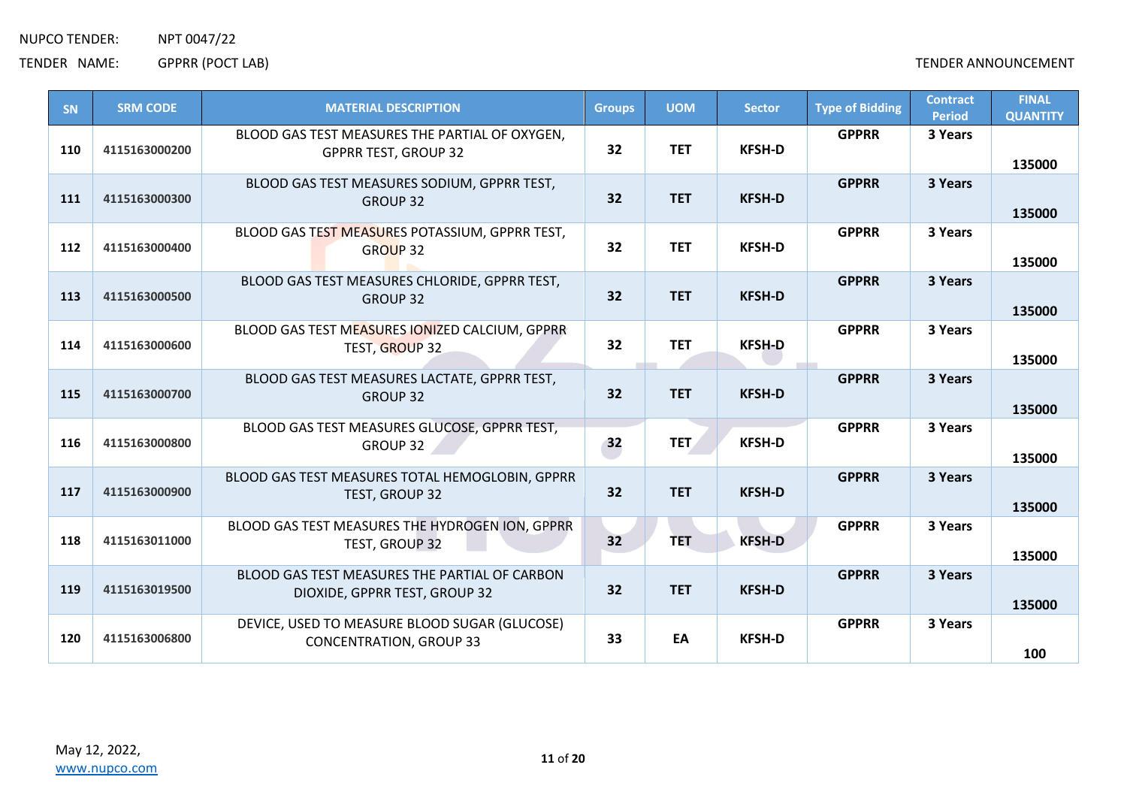| SN  | <b>SRM CODE</b> | <b>MATERIAL DESCRIPTION</b>                                                     | <b>Groups</b> | <b>UOM</b> | <b>Sector</b> | <b>Type of Bidding</b> | <b>Contract</b><br><b>Period</b> | <b>FINAL</b><br><b>QUANTITY</b> |
|-----|-----------------|---------------------------------------------------------------------------------|---------------|------------|---------------|------------------------|----------------------------------|---------------------------------|
| 110 | 4115163000200   | BLOOD GAS TEST MEASURES THE PARTIAL OF OXYGEN,<br><b>GPPRR TEST, GROUP 32</b>   | 32            | <b>TET</b> | <b>KFSH-D</b> | <b>GPPRR</b>           | 3 Years                          | 135000                          |
| 111 | 4115163000300   | BLOOD GAS TEST MEASURES SODIUM, GPPRR TEST,<br><b>GROUP 32</b>                  | 32            | <b>TET</b> | <b>KFSH-D</b> | <b>GPPRR</b>           | 3 Years                          | 135000                          |
| 112 | 4115163000400   | BLOOD GAS TEST MEASURES POTASSIUM, GPPRR TEST,<br>GROUP 32                      | 32            | <b>TET</b> | <b>KFSH-D</b> | <b>GPPRR</b>           | 3 Years                          | 135000                          |
| 113 | 4115163000500   | BLOOD GAS TEST MEASURES CHLORIDE, GPPRR TEST,<br><b>GROUP 32</b>                | 32            | <b>TET</b> | <b>KFSH-D</b> | <b>GPPRR</b>           | 3 Years                          | 135000                          |
| 114 | 4115163000600   | BLOOD GAS TEST MEASURES IONIZED CALCIUM, GPPRR<br>TEST, GROUP 32                | 32            | <b>TET</b> | <b>KFSH-D</b> | <b>GPPRR</b>           | 3 Years                          | 135000                          |
| 115 | 4115163000700   | BLOOD GAS TEST MEASURES LACTATE, GPPRR TEST,<br><b>GROUP 32</b>                 | 32            | <b>TET</b> | <b>KFSH-D</b> | <b>GPPRR</b>           | 3 Years                          | 135000                          |
| 116 | 4115163000800   | BLOOD GAS TEST MEASURES GLUCOSE, GPPRR TEST,<br>GROUP 32                        | 32            | <b>TET</b> | <b>KFSH-D</b> | <b>GPPRR</b>           | 3 Years                          | 135000                          |
| 117 | 4115163000900   | BLOOD GAS TEST MEASURES TOTAL HEMOGLOBIN, GPPRR<br>TEST, GROUP 32               | 32            | <b>TET</b> | <b>KFSH-D</b> | <b>GPPRR</b>           | 3 Years                          | 135000                          |
| 118 | 4115163011000   | BLOOD GAS TEST MEASURES THE HYDROGEN ION, GPPRR<br>TEST, GROUP 32               | 32            | <b>TET</b> | <b>KFSH-D</b> | <b>GPPRR</b>           | 3 Years                          | 135000                          |
| 119 | 4115163019500   | BLOOD GAS TEST MEASURES THE PARTIAL OF CARBON<br>DIOXIDE, GPPRR TEST, GROUP 32  | 32            | <b>TET</b> | <b>KFSH-D</b> | <b>GPPRR</b>           | 3 Years                          | 135000                          |
| 120 | 4115163006800   | DEVICE, USED TO MEASURE BLOOD SUGAR (GLUCOSE)<br><b>CONCENTRATION, GROUP 33</b> | 33            | EA         | <b>KFSH-D</b> | <b>GPPRR</b>           | 3 Years                          | 100                             |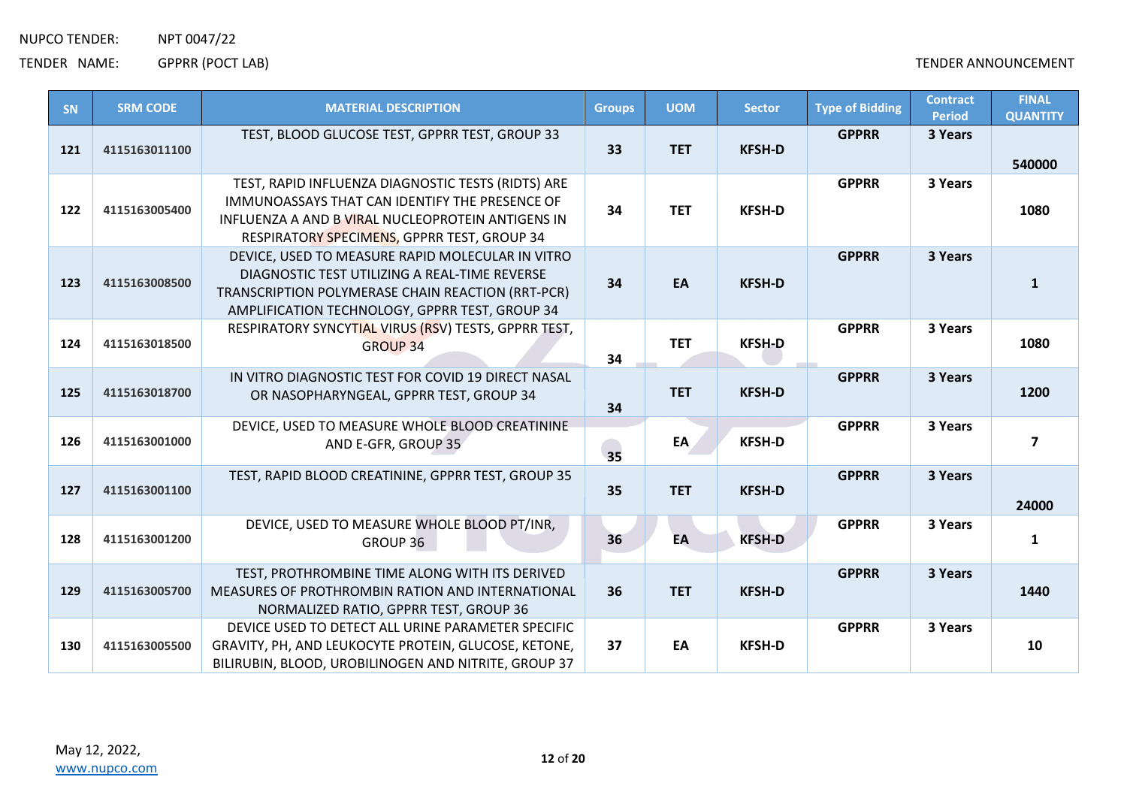TENDER NAME: GPPRR (POCT LAB) CHARGE ANNOUNCEMENT

| SN  | <b>SRM CODE</b> | <b>MATERIAL DESCRIPTION</b>                                                                                                                                                                              | <b>Groups</b> | <b>UOM</b> | <b>Sector</b> | <b>Type of Bidding</b> | <b>Contract</b><br><b>Period</b> | <b>FINAL</b><br><b>QUANTITY</b> |
|-----|-----------------|----------------------------------------------------------------------------------------------------------------------------------------------------------------------------------------------------------|---------------|------------|---------------|------------------------|----------------------------------|---------------------------------|
| 121 | 4115163011100   | TEST, BLOOD GLUCOSE TEST, GPPRR TEST, GROUP 33                                                                                                                                                           | 33            | <b>TET</b> | <b>KFSH-D</b> | <b>GPPRR</b>           | 3 Years                          | 540000                          |
| 122 | 4115163005400   | TEST, RAPID INFLUENZA DIAGNOSTIC TESTS (RIDTS) ARE<br>IMMUNOASSAYS THAT CAN IDENTIFY THE PRESENCE OF<br>INFLUENZA A AND B VIRAL NUCLEOPROTEIN ANTIGENS IN<br>RESPIRATORY SPECIMENS, GPPRR TEST, GROUP 34 | 34            | <b>TET</b> | <b>KFSH-D</b> | <b>GPPRR</b>           | 3 Years                          | 1080                            |
| 123 | 4115163008500   | DEVICE, USED TO MEASURE RAPID MOLECULAR IN VITRO<br>DIAGNOSTIC TEST UTILIZING A REAL-TIME REVERSE<br>TRANSCRIPTION POLYMERASE CHAIN REACTION (RRT-PCR)<br>AMPLIFICATION TECHNOLOGY, GPPRR TEST, GROUP 34 | 34            | EA         | <b>KFSH-D</b> | <b>GPPRR</b>           | 3 Years                          | $\mathbf{1}$                    |
| 124 | 4115163018500   | RESPIRATORY SYNCYTIAL VIRUS (RSV) TESTS, GPPRR TEST,<br><b>GROUP 34</b>                                                                                                                                  | 34            | <b>TET</b> | <b>KFSH-D</b> | <b>GPPRR</b>           | 3 Years                          | 1080                            |
| 125 | 4115163018700   | IN VITRO DIAGNOSTIC TEST FOR COVID 19 DIRECT NASAL<br>OR NASOPHARYNGEAL, GPPRR TEST, GROUP 34                                                                                                            | 34            | <b>TET</b> | <b>KFSH-D</b> | <b>GPPRR</b>           | 3 Years                          | 1200                            |
| 126 | 4115163001000   | DEVICE, USED TO MEASURE WHOLE BLOOD CREATININE<br>AND E-GFR, GROUP 35                                                                                                                                    | 35            | EA         | <b>KFSH-D</b> | <b>GPPRR</b>           | 3 Years                          | $\overline{\mathbf{z}}$         |
| 127 | 4115163001100   | TEST, RAPID BLOOD CREATININE, GPPRR TEST, GROUP 35                                                                                                                                                       | 35            | <b>TET</b> | <b>KFSH-D</b> | <b>GPPRR</b>           | 3 Years                          | 24000                           |
| 128 | 4115163001200   | DEVICE, USED TO MEASURE WHOLE BLOOD PT/INR,<br>GROUP 36                                                                                                                                                  | 36            | EA         | <b>KFSH-D</b> | <b>GPPRR</b>           | 3 Years                          | $\mathbf{1}$                    |
| 129 | 4115163005700   | TEST, PROTHROMBINE TIME ALONG WITH ITS DERIVED<br><b>MEASURES OF PROTHROMBIN RATION AND INTERNATIONAL</b><br>NORMALIZED RATIO, GPPRR TEST, GROUP 36                                                      | 36            | <b>TET</b> | <b>KFSH-D</b> | <b>GPPRR</b>           | 3 Years                          | 1440                            |
| 130 | 4115163005500   | DEVICE USED TO DETECT ALL URINE PARAMETER SPECIFIC<br>GRAVITY, PH, AND LEUKOCYTE PROTEIN, GLUCOSE, KETONE,<br>BILIRUBIN, BLOOD, UROBILINOGEN AND NITRITE, GROUP 37                                       | 37            | EA         | <b>KFSH-D</b> | <b>GPPRR</b>           | 3 Years                          | 10                              |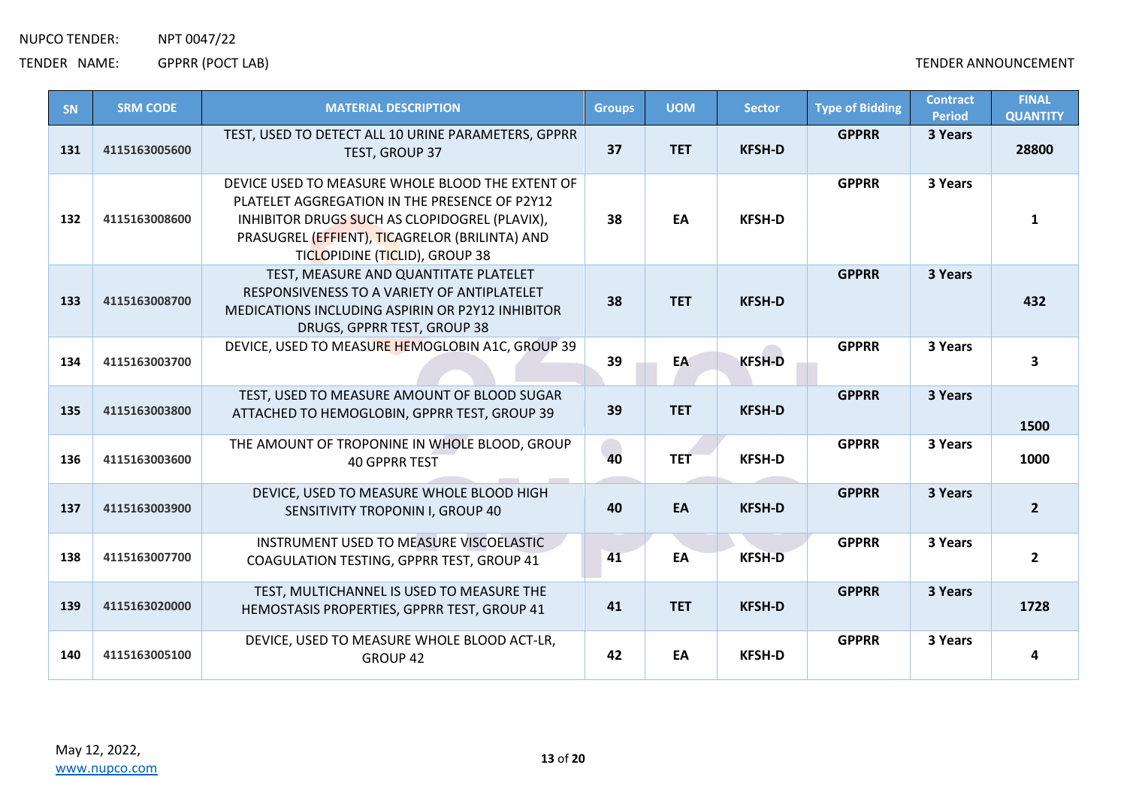| SN  | <b>SRM CODE</b> | <b>MATERIAL DESCRIPTION</b>                                                                                                                                                                                                            | <b>Groups</b> | <b>UOM</b> | <b>Sector</b> | <b>Type of Bidding</b> | <b>Contract</b><br><b>Period</b> | <b>FINAL</b><br><b>QUANTITY</b> |
|-----|-----------------|----------------------------------------------------------------------------------------------------------------------------------------------------------------------------------------------------------------------------------------|---------------|------------|---------------|------------------------|----------------------------------|---------------------------------|
| 131 | 4115163005600   | TEST, USED TO DETECT ALL 10 URINE PARAMETERS, GPPRR<br>TEST, GROUP 37                                                                                                                                                                  | 37            | <b>TET</b> | <b>KFSH-D</b> | <b>GPPRR</b>           | 3 Years                          | 28800                           |
| 132 | 4115163008600   | DEVICE USED TO MEASURE WHOLE BLOOD THE EXTENT OF<br>PLATELET AGGREGATION IN THE PRESENCE OF P2Y12<br>INHIBITOR DRUGS SUCH AS CLOPIDOGREL (PLAVIX),<br>PRASUGREL (EFFIENT), TICAGRELOR (BRILINTA) AND<br>TICLOPIDINE (TICLID), GROUP 38 | 38            | EA         | <b>KFSH-D</b> | <b>GPPRR</b>           | 3 Years                          | 1                               |
| 133 | 4115163008700   | TEST, MEASURE AND QUANTITATE PLATELET<br>RESPONSIVENESS TO A VARIETY OF ANTIPLATELET<br>MEDICATIONS INCLUDING ASPIRIN OR P2Y12 INHIBITOR<br>DRUGS, GPPRR TEST, GROUP 38                                                                | 38            | <b>TET</b> | <b>KFSH-D</b> | <b>GPPRR</b>           | 3 Years                          | 432                             |
| 134 | 4115163003700   | DEVICE, USED TO MEASURE HEMOGLOBIN A1C, GROUP 39                                                                                                                                                                                       | 39            | EA         | <b>KFSH-D</b> | <b>GPPRR</b>           | 3 Years                          | 3                               |
| 135 | 4115163003800   | TEST, USED TO MEASURE AMOUNT OF BLOOD SUGAR<br>ATTACHED TO HEMOGLOBIN, GPPRR TEST, GROUP 39                                                                                                                                            | 39            | <b>TET</b> | <b>KFSH-D</b> | <b>GPPRR</b>           | 3 Years                          | 1500                            |
| 136 | 4115163003600   | THE AMOUNT OF TROPONINE IN WHOLE BLOOD, GROUP<br><b>40 GPPRR TEST</b>                                                                                                                                                                  | 40            | <b>TET</b> | <b>KFSH-D</b> | <b>GPPRR</b>           | 3 Years                          | 1000                            |
| 137 | 4115163003900   | DEVICE, USED TO MEASURE WHOLE BLOOD HIGH<br>SENSITIVITY TROPONIN I, GROUP 40                                                                                                                                                           | 40            | EA         | <b>KFSH-D</b> | <b>GPPRR</b>           | 3 Years                          | $\overline{2}$                  |
| 138 | 4115163007700   | INSTRUMENT USED TO MEASURE VISCOELASTIC<br>COAGULATION TESTING, GPPRR TEST, GROUP 41                                                                                                                                                   | 41            | EA         | <b>KFSH-D</b> | <b>GPPRR</b>           | 3 Years                          | $\overline{2}$                  |
| 139 | 4115163020000   | TEST, MULTICHANNEL IS USED TO MEASURE THE<br>HEMOSTASIS PROPERTIES, GPPRR TEST, GROUP 41                                                                                                                                               | 41            | <b>TET</b> | <b>KFSH-D</b> | <b>GPPRR</b>           | 3 Years                          | 1728                            |
| 140 | 4115163005100   | DEVICE, USED TO MEASURE WHOLE BLOOD ACT-LR,<br>GROUP <sub>42</sub>                                                                                                                                                                     | 42            | EA         | <b>KFSH-D</b> | <b>GPPRR</b>           | 3 Years                          | 4                               |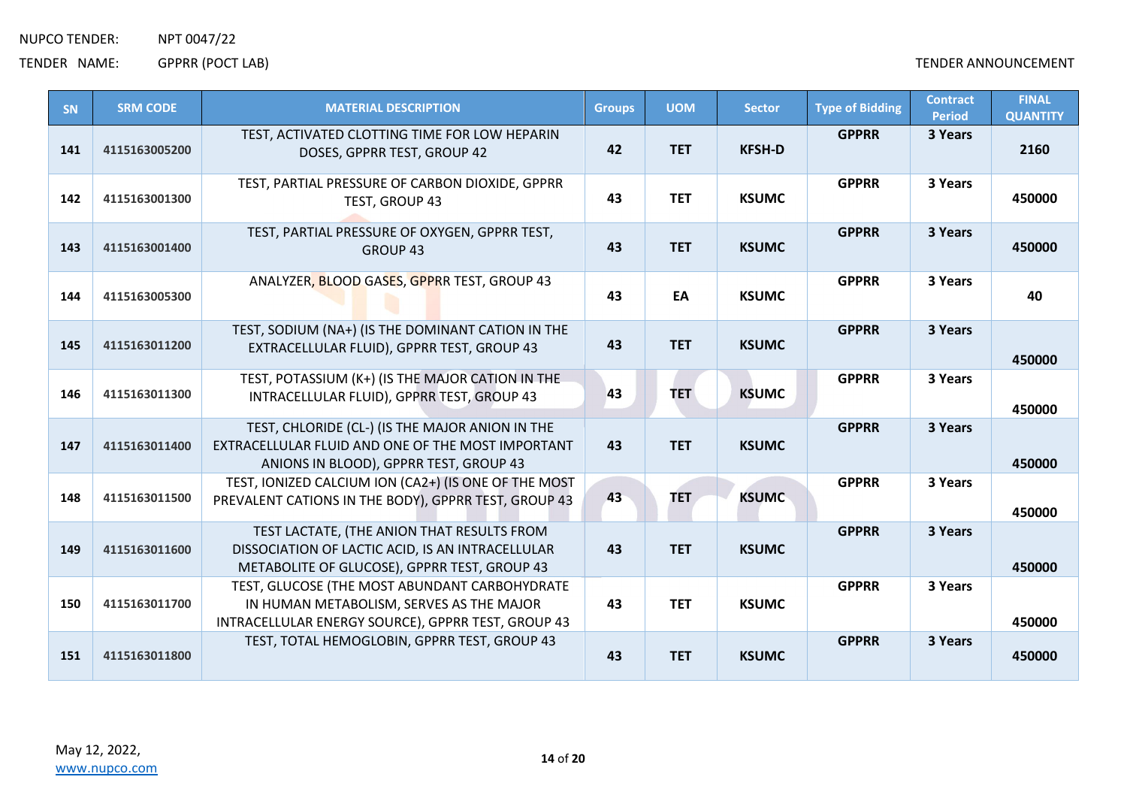| <b>SN</b> | <b>SRM CODE</b> | <b>MATERIAL DESCRIPTION</b>                                                                                                                     | <b>Groups</b> | <b>UOM</b> | <b>Sector</b> | <b>Type of Bidding</b> | <b>Contract</b><br><b>Period</b> | <b>FINAL</b><br><b>QUANTITY</b> |
|-----------|-----------------|-------------------------------------------------------------------------------------------------------------------------------------------------|---------------|------------|---------------|------------------------|----------------------------------|---------------------------------|
| 141       | 4115163005200   | TEST, ACTIVATED CLOTTING TIME FOR LOW HEPARIN<br>DOSES, GPPRR TEST, GROUP 42                                                                    | 42            | <b>TET</b> | <b>KFSH-D</b> | <b>GPPRR</b>           | 3 Years                          | 2160                            |
| 142       | 4115163001300   | TEST, PARTIAL PRESSURE OF CARBON DIOXIDE, GPPRR<br><b>TEST, GROUP 43</b>                                                                        | 43            | <b>TET</b> | <b>KSUMC</b>  | <b>GPPRR</b>           | 3 Years                          | 450000                          |
| 143       | 4115163001400   | TEST, PARTIAL PRESSURE OF OXYGEN, GPPRR TEST,<br>GROUP <sub>43</sub>                                                                            | 43            | <b>TET</b> | <b>KSUMC</b>  | <b>GPPRR</b>           | 3 Years                          | 450000                          |
| 144       | 4115163005300   | ANALYZER, BLOOD GASES, GPPRR TEST, GROUP 43                                                                                                     | 43            | EA         | <b>KSUMC</b>  | <b>GPPRR</b>           | 3 Years                          | 40                              |
| 145       | 4115163011200   | TEST, SODIUM (NA+) (IS THE DOMINANT CATION IN THE<br>EXTRACELLULAR FLUID), GPPRR TEST, GROUP 43                                                 | 43            | <b>TET</b> | <b>KSUMC</b>  | <b>GPPRR</b>           | 3 Years                          | 450000                          |
| 146       | 4115163011300   | TEST, POTASSIUM (K+) (IS THE MAJOR CATION IN THE<br>INTRACELLULAR FLUID), GPPRR TEST, GROUP 43                                                  | 43            | <b>TET</b> | <b>KSUMC</b>  | <b>GPPRR</b>           | 3 Years                          | 450000                          |
| 147       | 4115163011400   | TEST, CHLORIDE (CL-) (IS THE MAJOR ANION IN THE<br>EXTRACELLULAR FLUID AND ONE OF THE MOST IMPORTANT<br>ANIONS IN BLOOD), GPPRR TEST, GROUP 43  | 43            | <b>TET</b> | <b>KSUMC</b>  | <b>GPPRR</b>           | 3 Years                          | 450000                          |
| 148       | 4115163011500   | TEST, IONIZED CALCIUM ION (CA2+) (IS ONE OF THE MOST<br>PREVALENT CATIONS IN THE BODY), GPPRR TEST, GROUP 43                                    | 43            | <b>TET</b> | <b>KSUMC</b>  | <b>GPPRR</b>           | 3 Years                          | 450000                          |
| 149       | 4115163011600   | TEST LACTATE, (THE ANION THAT RESULTS FROM<br>DISSOCIATION OF LACTIC ACID, IS AN INTRACELLULAR<br>METABOLITE OF GLUCOSE), GPPRR TEST, GROUP 43  | 43            | <b>TET</b> | <b>KSUMC</b>  | <b>GPPRR</b>           | 3 Years                          | 450000                          |
| 150       | 4115163011700   | TEST, GLUCOSE (THE MOST ABUNDANT CARBOHYDRATE<br>IN HUMAN METABOLISM, SERVES AS THE MAJOR<br>INTRACELLULAR ENERGY SOURCE), GPPRR TEST, GROUP 43 | 43            | <b>TET</b> | <b>KSUMC</b>  | <b>GPPRR</b>           | 3 Years                          | 450000                          |
| 151       | 4115163011800   | TEST, TOTAL HEMOGLOBIN, GPPRR TEST, GROUP 43                                                                                                    | 43            | <b>TET</b> | <b>KSUMC</b>  | <b>GPPRR</b>           | 3 Years                          | 450000                          |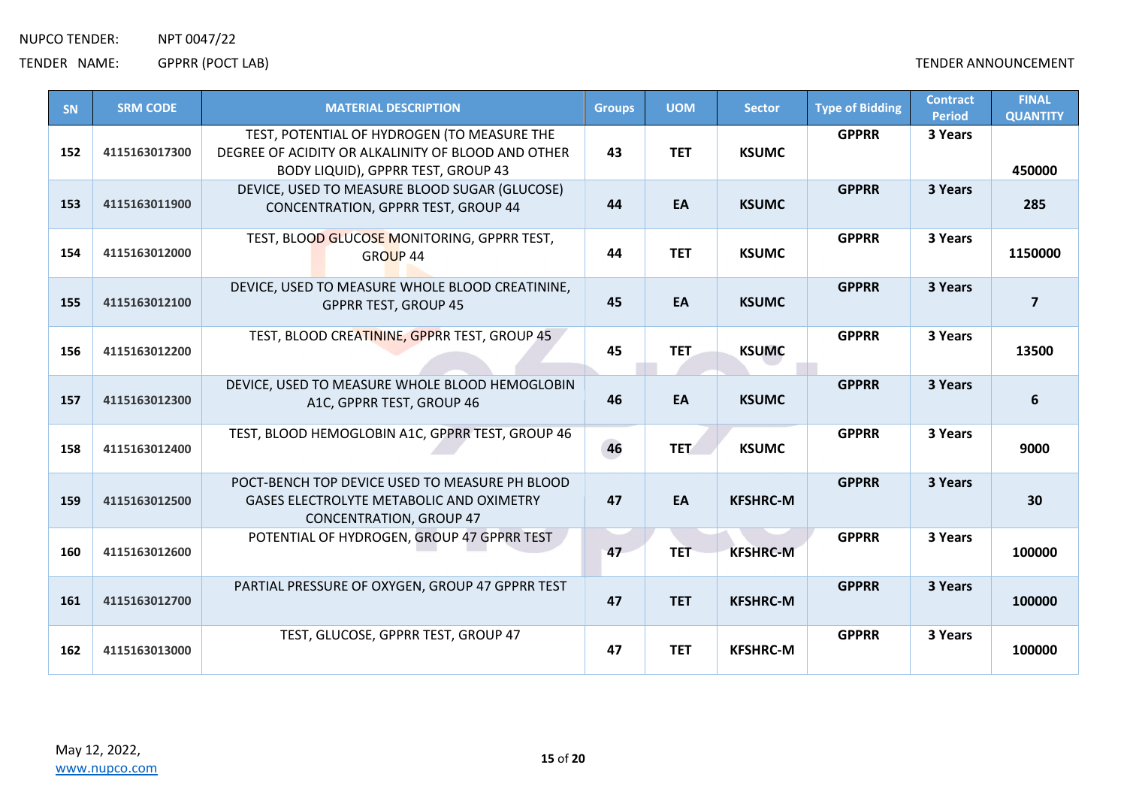TENDER NAME: GPPRR (POCT LAB) CHARGE ANNOUNCEMENT

| SN  | <b>SRM CODE</b> | <b>MATERIAL DESCRIPTION</b>                                                                                                             | <b>Groups</b> | <b>UOM</b> | <b>Sector</b>   | <b>Type of Bidding</b> | <b>Contract</b><br><b>Period</b> | <b>FINAL</b><br><b>QUANTITY</b> |
|-----|-----------------|-----------------------------------------------------------------------------------------------------------------------------------------|---------------|------------|-----------------|------------------------|----------------------------------|---------------------------------|
| 152 | 4115163017300   | TEST, POTENTIAL OF HYDROGEN (TO MEASURE THE<br>DEGREE OF ACIDITY OR ALKALINITY OF BLOOD AND OTHER<br>BODY LIQUID), GPPRR TEST, GROUP 43 | 43            | <b>TET</b> | <b>KSUMC</b>    | <b>GPPRR</b>           | 3 Years                          | 450000                          |
| 153 | 4115163011900   | DEVICE, USED TO MEASURE BLOOD SUGAR (GLUCOSE)<br>CONCENTRATION, GPPRR TEST, GROUP 44                                                    | 44            | EA         | <b>KSUMC</b>    | <b>GPPRR</b>           | 3 Years                          | 285                             |
| 154 | 4115163012000   | TEST, BLOOD GLUCOSE MONITORING, GPPRR TEST,<br><b>GROUP 44</b>                                                                          | 44            | <b>TET</b> | <b>KSUMC</b>    | <b>GPPRR</b>           | 3 Years                          | 1150000                         |
| 155 | 4115163012100   | DEVICE, USED TO MEASURE WHOLE BLOOD CREATININE,<br><b>GPPRR TEST, GROUP 45</b>                                                          | 45            | EA         | <b>KSUMC</b>    | <b>GPPRR</b>           | 3 Years                          | $\overline{7}$                  |
| 156 | 4115163012200   | TEST, BLOOD CREATININE, GPPRR TEST, GROUP 45                                                                                            | 45            | <b>TET</b> | <b>KSUMC</b>    | <b>GPPRR</b>           | 3 Years                          | 13500                           |
| 157 | 4115163012300   | DEVICE, USED TO MEASURE WHOLE BLOOD HEMOGLOBIN<br>A1C, GPPRR TEST, GROUP 46                                                             | 46            | EA         | <b>KSUMC</b>    | <b>GPPRR</b>           | 3 Years                          | 6                               |
| 158 | 4115163012400   | TEST, BLOOD HEMOGLOBIN A1C, GPPRR TEST, GROUP 46                                                                                        | 46            | <b>TET</b> | <b>KSUMC</b>    | <b>GPPRR</b>           | 3 Years                          | 9000                            |
| 159 | 4115163012500   | POCT-BENCH TOP DEVICE USED TO MEASURE PH BLOOD<br>GASES ELECTROLYTE METABOLIC AND OXIMETRY<br><b>CONCENTRATION, GROUP 47</b>            | 47            | EA         | <b>KFSHRC-M</b> | <b>GPPRR</b>           | 3 Years                          | 30                              |
| 160 | 4115163012600   | POTENTIAL OF HYDROGEN, GROUP 47 GPPRR TEST                                                                                              | 47            | <b>TET</b> | <b>KFSHRC-M</b> | <b>GPPRR</b>           | 3 Years                          | 100000                          |
| 161 | 4115163012700   | PARTIAL PRESSURE OF OXYGEN, GROUP 47 GPPRR TEST                                                                                         | 47            | <b>TET</b> | <b>KFSHRC-M</b> | <b>GPPRR</b>           | 3 Years                          | 100000                          |
| 162 | 4115163013000   | TEST, GLUCOSE, GPPRR TEST, GROUP 47                                                                                                     | 47            | <b>TET</b> | <b>KFSHRC-M</b> | <b>GPPRR</b>           | 3 Years                          | 100000                          |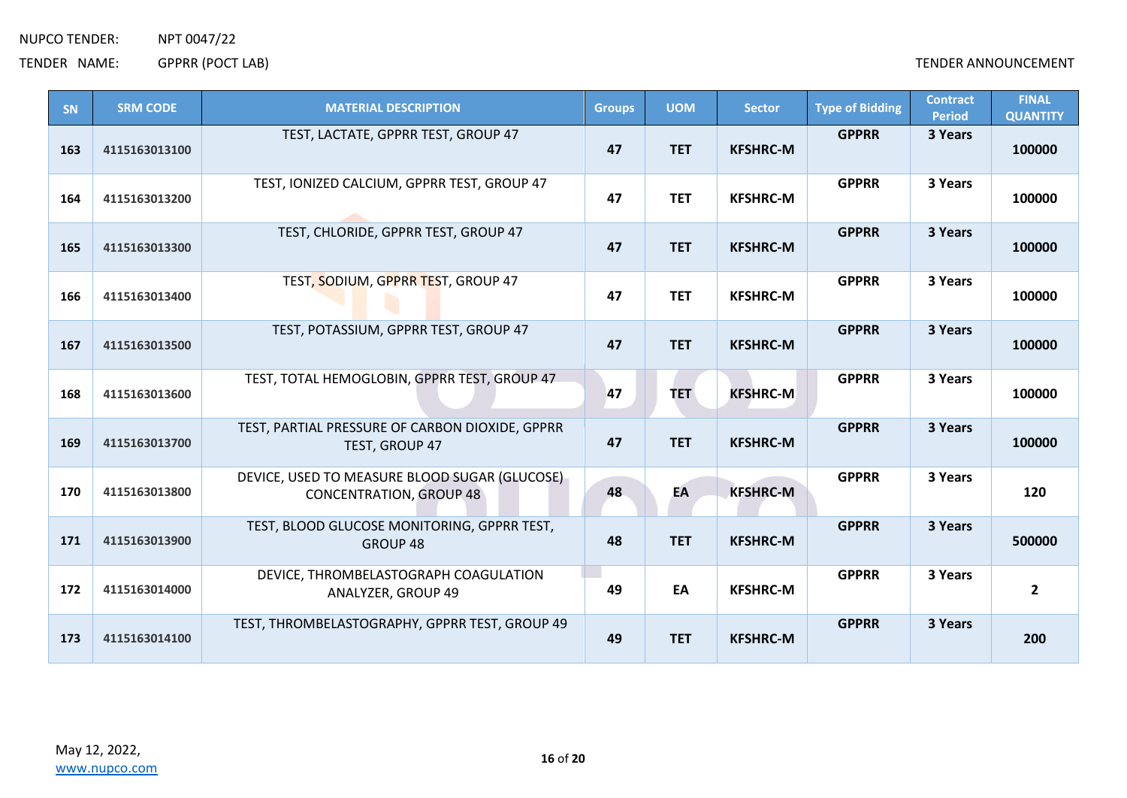| SN  | <b>SRM CODE</b> | <b>MATERIAL DESCRIPTION</b>                                                     | <b>Groups</b> | <b>UOM</b> | <b>Sector</b>   | <b>Type of Bidding</b> | <b>Contract</b><br><b>Period</b> | <b>FINAL</b><br><b>QUANTITY</b> |
|-----|-----------------|---------------------------------------------------------------------------------|---------------|------------|-----------------|------------------------|----------------------------------|---------------------------------|
| 163 | 4115163013100   | TEST, LACTATE, GPPRR TEST, GROUP 47                                             | 47            | <b>TET</b> | <b>KFSHRC-M</b> | <b>GPPRR</b>           | 3 Years                          | 100000                          |
| 164 | 4115163013200   | TEST, IONIZED CALCIUM, GPPRR TEST, GROUP 47                                     | 47            | <b>TET</b> | <b>KFSHRC-M</b> | <b>GPPRR</b>           | 3 Years                          | 100000                          |
| 165 | 4115163013300   | TEST, CHLORIDE, GPPRR TEST, GROUP 47                                            | 47            | <b>TET</b> | <b>KFSHRC-M</b> | <b>GPPRR</b>           | 3 Years                          | 100000                          |
| 166 | 4115163013400   | TEST, SODIUM, GPPRR TEST, GROUP 47                                              | 47            | <b>TET</b> | <b>KFSHRC-M</b> | <b>GPPRR</b>           | 3 Years                          | 100000                          |
| 167 | 4115163013500   | TEST, POTASSIUM, GPPRR TEST, GROUP 47                                           | 47            | <b>TET</b> | <b>KFSHRC-M</b> | <b>GPPRR</b>           | 3 Years                          | 100000                          |
| 168 | 4115163013600   | TEST, TOTAL HEMOGLOBIN, GPPRR TEST, GROUP 47                                    | 47            | <b>TET</b> | <b>KFSHRC-M</b> | <b>GPPRR</b>           | 3 Years                          | 100000                          |
| 169 | 4115163013700   | TEST, PARTIAL PRESSURE OF CARBON DIOXIDE, GPPRR<br>TEST, GROUP 47               | 47            | <b>TET</b> | <b>KFSHRC-M</b> | <b>GPPRR</b>           | 3 Years                          | 100000                          |
| 170 | 4115163013800   | DEVICE, USED TO MEASURE BLOOD SUGAR (GLUCOSE)<br><b>CONCENTRATION, GROUP 48</b> | 48            | EA         | <b>KFSHRC-M</b> | <b>GPPRR</b>           | 3 Years                          | 120                             |
| 171 | 4115163013900   | TEST, BLOOD GLUCOSE MONITORING, GPPRR TEST,<br>GROUP 48                         | 48            | <b>TET</b> | <b>KFSHRC-M</b> | <b>GPPRR</b>           | 3 Years                          | 500000                          |
| 172 | 4115163014000   | DEVICE, THROMBELASTOGRAPH COAGULATION<br>ANALYZER, GROUP 49                     | 49            | EA         | <b>KFSHRC-M</b> | <b>GPPRR</b>           | 3 Years                          | $\overline{2}$                  |
| 173 | 4115163014100   | TEST, THROMBELASTOGRAPHY, GPPRR TEST, GROUP 49                                  | 49            | <b>TET</b> | <b>KFSHRC-M</b> | <b>GPPRR</b>           | 3 Years                          | 200                             |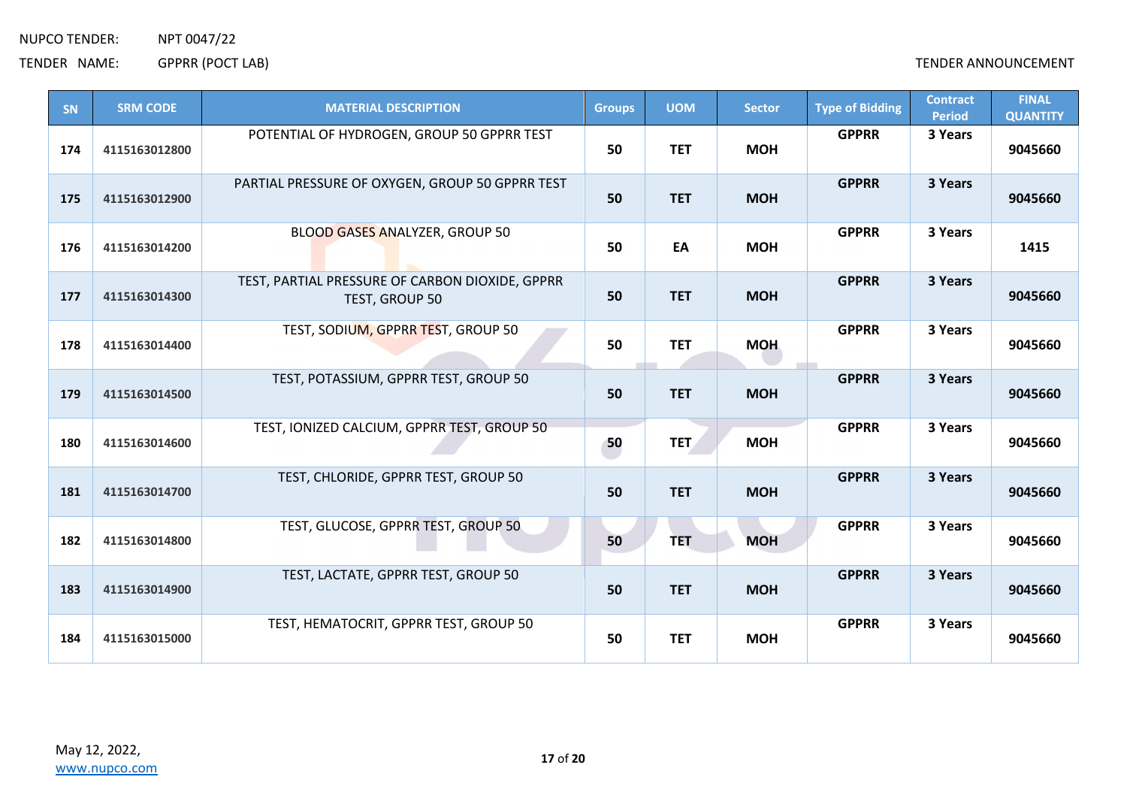| <b>GPPRR</b><br>3 Years<br>POTENTIAL OF HYDROGEN, GROUP 50 GPPRR TEST<br>50<br><b>TET</b><br>174<br><b>MOH</b><br>9045660<br>4115163012800<br><b>GPPRR</b><br>3 Years<br>PARTIAL PRESSURE OF OXYGEN, GROUP 50 GPPRR TEST<br>50<br><b>TET</b><br><b>MOH</b><br>9045660<br>175<br>4115163012900<br><b>GPPRR</b><br>3 Years<br>BLOOD GASES ANALYZER, GROUP 50<br>50<br>176<br>4115163014200<br>EA<br><b>MOH</b><br>1415<br>3 Years<br>TEST, PARTIAL PRESSURE OF CARBON DIOXIDE, GPPRR<br><b>GPPRR</b><br>50<br><b>TET</b><br><b>MOH</b><br>9045660<br>177<br>4115163014300<br>TEST, GROUP 50<br>TEST, SODIUM, GPPRR TEST, GROUP 50<br><b>GPPRR</b><br>3 Years<br>50<br><b>TET</b><br><b>MOH</b><br>9045660<br>178<br>4115163014400<br>TEST, POTASSIUM, GPPRR TEST, GROUP 50<br><b>GPPRR</b><br>3 Years<br>50<br><b>TET</b><br><b>MOH</b><br>179<br>4115163014500<br>9045660<br>TEST, IONIZED CALCIUM, GPPRR TEST, GROUP 50<br><b>GPPRR</b><br>3 Years<br>50<br><b>MOH</b><br>180<br><b>TET</b><br>9045660<br>4115163014600<br><b>GPPRR</b><br>3 Years<br>TEST, CHLORIDE, GPPRR TEST, GROUP 50<br>50<br><b>TET</b><br><b>MOH</b><br>9045660<br>181<br>4115163014700<br>TEST, GLUCOSE, GPPRR TEST, GROUP 50<br>3 Years<br><b>GPPRR</b><br>50<br>182<br><b>TET</b><br><b>MOH</b><br>9045660<br>4115163014800<br><b>GPPRR</b><br>3 Years<br>TEST, LACTATE, GPPRR TEST, GROUP 50<br>50<br><b>TET</b><br><b>MOH</b><br>183<br>4115163014900<br>9045660<br>TEST, HEMATOCRIT, GPPRR TEST, GROUP 50<br><b>GPPRR</b><br>3 Years<br>50<br><b>TET</b><br><b>MOH</b><br>9045660<br>184<br>4115163015000 | SN | <b>SRM CODE</b> | <b>MATERIAL DESCRIPTION</b> | <b>Groups</b> | <b>UOM</b> | <b>Sector</b> | <b>Type of Bidding</b> | <b>Contract</b><br><b>Period</b> | <b>FINAL</b><br><b>QUANTITY</b> |
|-----------------------------------------------------------------------------------------------------------------------------------------------------------------------------------------------------------------------------------------------------------------------------------------------------------------------------------------------------------------------------------------------------------------------------------------------------------------------------------------------------------------------------------------------------------------------------------------------------------------------------------------------------------------------------------------------------------------------------------------------------------------------------------------------------------------------------------------------------------------------------------------------------------------------------------------------------------------------------------------------------------------------------------------------------------------------------------------------------------------------------------------------------------------------------------------------------------------------------------------------------------------------------------------------------------------------------------------------------------------------------------------------------------------------------------------------------------------------------------------------------------------------------------------------------------------------------------------|----|-----------------|-----------------------------|---------------|------------|---------------|------------------------|----------------------------------|---------------------------------|
|                                                                                                                                                                                                                                                                                                                                                                                                                                                                                                                                                                                                                                                                                                                                                                                                                                                                                                                                                                                                                                                                                                                                                                                                                                                                                                                                                                                                                                                                                                                                                                                         |    |                 |                             |               |            |               |                        |                                  |                                 |
|                                                                                                                                                                                                                                                                                                                                                                                                                                                                                                                                                                                                                                                                                                                                                                                                                                                                                                                                                                                                                                                                                                                                                                                                                                                                                                                                                                                                                                                                                                                                                                                         |    |                 |                             |               |            |               |                        |                                  |                                 |
|                                                                                                                                                                                                                                                                                                                                                                                                                                                                                                                                                                                                                                                                                                                                                                                                                                                                                                                                                                                                                                                                                                                                                                                                                                                                                                                                                                                                                                                                                                                                                                                         |    |                 |                             |               |            |               |                        |                                  |                                 |
|                                                                                                                                                                                                                                                                                                                                                                                                                                                                                                                                                                                                                                                                                                                                                                                                                                                                                                                                                                                                                                                                                                                                                                                                                                                                                                                                                                                                                                                                                                                                                                                         |    |                 |                             |               |            |               |                        |                                  |                                 |
|                                                                                                                                                                                                                                                                                                                                                                                                                                                                                                                                                                                                                                                                                                                                                                                                                                                                                                                                                                                                                                                                                                                                                                                                                                                                                                                                                                                                                                                                                                                                                                                         |    |                 |                             |               |            |               |                        |                                  |                                 |
|                                                                                                                                                                                                                                                                                                                                                                                                                                                                                                                                                                                                                                                                                                                                                                                                                                                                                                                                                                                                                                                                                                                                                                                                                                                                                                                                                                                                                                                                                                                                                                                         |    |                 |                             |               |            |               |                        |                                  |                                 |
|                                                                                                                                                                                                                                                                                                                                                                                                                                                                                                                                                                                                                                                                                                                                                                                                                                                                                                                                                                                                                                                                                                                                                                                                                                                                                                                                                                                                                                                                                                                                                                                         |    |                 |                             |               |            |               |                        |                                  |                                 |
|                                                                                                                                                                                                                                                                                                                                                                                                                                                                                                                                                                                                                                                                                                                                                                                                                                                                                                                                                                                                                                                                                                                                                                                                                                                                                                                                                                                                                                                                                                                                                                                         |    |                 |                             |               |            |               |                        |                                  |                                 |
|                                                                                                                                                                                                                                                                                                                                                                                                                                                                                                                                                                                                                                                                                                                                                                                                                                                                                                                                                                                                                                                                                                                                                                                                                                                                                                                                                                                                                                                                                                                                                                                         |    |                 |                             |               |            |               |                        |                                  |                                 |
|                                                                                                                                                                                                                                                                                                                                                                                                                                                                                                                                                                                                                                                                                                                                                                                                                                                                                                                                                                                                                                                                                                                                                                                                                                                                                                                                                                                                                                                                                                                                                                                         |    |                 |                             |               |            |               |                        |                                  |                                 |
|                                                                                                                                                                                                                                                                                                                                                                                                                                                                                                                                                                                                                                                                                                                                                                                                                                                                                                                                                                                                                                                                                                                                                                                                                                                                                                                                                                                                                                                                                                                                                                                         |    |                 |                             |               |            |               |                        |                                  |                                 |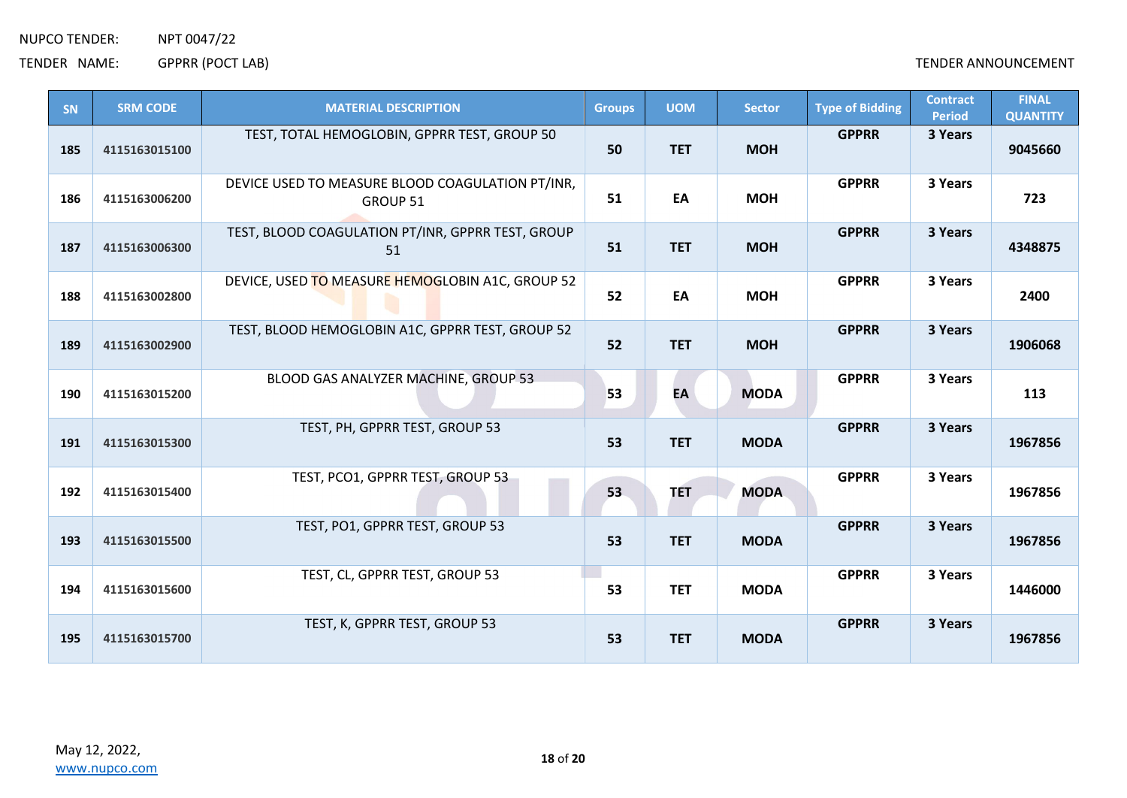| SN  | <b>SRM CODE</b> | <b>MATERIAL DESCRIPTION</b>                                  | <b>Groups</b> | <b>UOM</b> | <b>Sector</b> | <b>Type of Bidding</b> | <b>Contract</b><br><b>Period</b> | <b>FINAL</b><br><b>QUANTITY</b> |
|-----|-----------------|--------------------------------------------------------------|---------------|------------|---------------|------------------------|----------------------------------|---------------------------------|
| 185 | 4115163015100   | TEST, TOTAL HEMOGLOBIN, GPPRR TEST, GROUP 50                 | 50            | <b>TET</b> | <b>MOH</b>    | <b>GPPRR</b>           | 3 Years                          | 9045660                         |
| 186 | 4115163006200   | DEVICE USED TO MEASURE BLOOD COAGULATION PT/INR,<br>GROUP 51 | 51            | EA         | <b>MOH</b>    | <b>GPPRR</b>           | 3 Years                          | 723                             |
| 187 | 4115163006300   | TEST, BLOOD COAGULATION PT/INR, GPPRR TEST, GROUP<br>51      | 51            | <b>TET</b> | <b>MOH</b>    | <b>GPPRR</b>           | 3 Years                          | 4348875                         |
| 188 | 4115163002800   | DEVICE, USED TO MEASURE HEMOGLOBIN A1C, GROUP 52             | 52            | EA         | <b>MOH</b>    | <b>GPPRR</b>           | 3 Years                          | 2400                            |
| 189 | 4115163002900   | TEST, BLOOD HEMOGLOBIN A1C, GPPRR TEST, GROUP 52             | 52            | <b>TET</b> | <b>MOH</b>    | <b>GPPRR</b>           | 3 Years                          | 1906068                         |
| 190 | 4115163015200   | BLOOD GAS ANALYZER MACHINE, GROUP 53                         | 53            | EA         | <b>MODA</b>   | <b>GPPRR</b>           | 3 Years                          | 113                             |
| 191 | 4115163015300   | TEST, PH, GPPRR TEST, GROUP 53                               | 53            | <b>TET</b> | <b>MODA</b>   | <b>GPPRR</b>           | 3 Years                          | 1967856                         |
| 192 | 4115163015400   | TEST, PCO1, GPPRR TEST, GROUP 53                             | 53            | <b>TET</b> | <b>MODA</b>   | <b>GPPRR</b>           | 3 Years                          | 1967856                         |
| 193 | 4115163015500   | TEST, PO1, GPPRR TEST, GROUP 53                              | 53            | <b>TET</b> | <b>MODA</b>   | <b>GPPRR</b>           | 3 Years                          | 1967856                         |
| 194 | 4115163015600   | TEST, CL, GPPRR TEST, GROUP 53                               | 53            | <b>TET</b> | <b>MODA</b>   | <b>GPPRR</b>           | 3 Years                          | 1446000                         |
| 195 | 4115163015700   | TEST, K, GPPRR TEST, GROUP 53                                | 53            | <b>TET</b> | <b>MODA</b>   | <b>GPPRR</b>           | 3 Years                          | 1967856                         |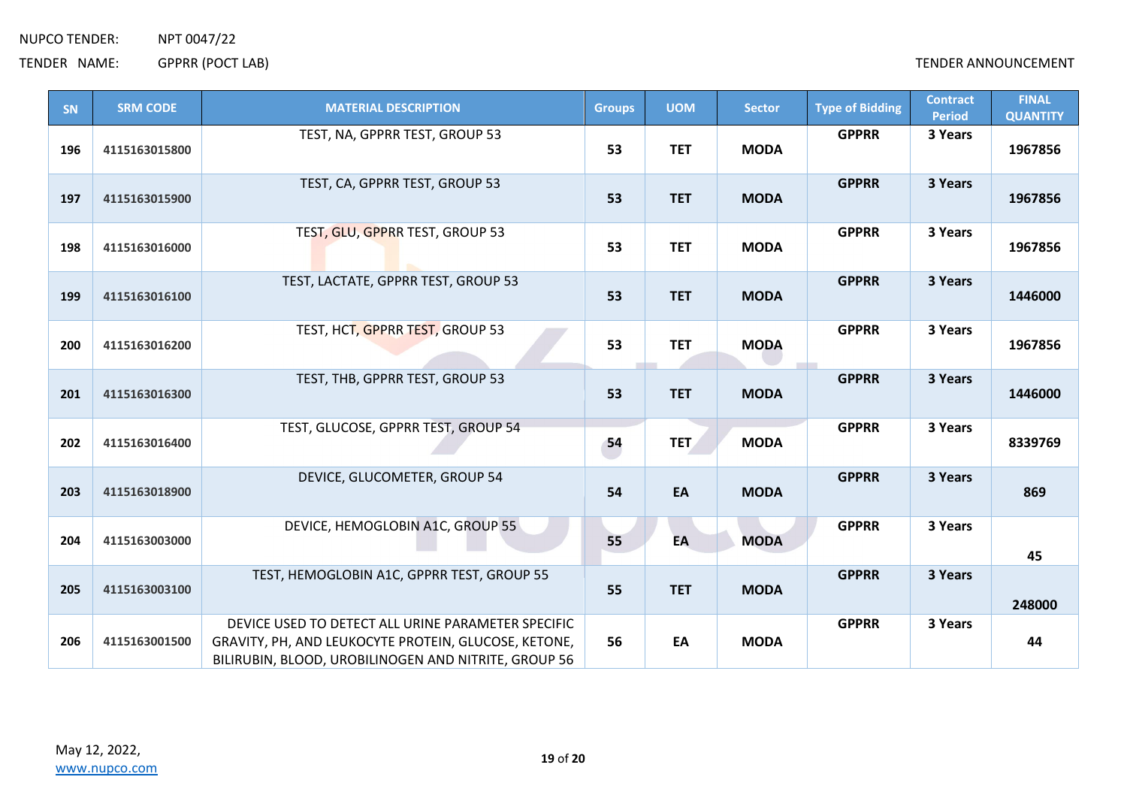| SN  | <b>SRM CODE</b> | <b>MATERIAL DESCRIPTION</b>                                                                                                                                        | <b>Groups</b> | <b>UOM</b> | <b>Sector</b> | <b>Type of Bidding</b> | <b>Contract</b><br><b>Period</b> | <b>FINAL</b><br><b>QUANTITY</b> |
|-----|-----------------|--------------------------------------------------------------------------------------------------------------------------------------------------------------------|---------------|------------|---------------|------------------------|----------------------------------|---------------------------------|
| 196 | 4115163015800   | TEST, NA, GPPRR TEST, GROUP 53                                                                                                                                     | 53            | <b>TET</b> | <b>MODA</b>   | <b>GPPRR</b>           | 3 Years                          | 1967856                         |
| 197 | 4115163015900   | TEST, CA, GPPRR TEST, GROUP 53                                                                                                                                     | 53            | <b>TET</b> | <b>MODA</b>   | <b>GPPRR</b>           | 3 Years                          | 1967856                         |
| 198 | 4115163016000   | TEST, GLU, GPPRR TEST, GROUP 53                                                                                                                                    | 53            | <b>TET</b> | <b>MODA</b>   | <b>GPPRR</b>           | 3 Years                          | 1967856                         |
| 199 | 4115163016100   | TEST, LACTATE, GPPRR TEST, GROUP 53                                                                                                                                | 53            | <b>TET</b> | <b>MODA</b>   | <b>GPPRR</b>           | 3 Years                          | 1446000                         |
| 200 | 4115163016200   | TEST, HCT, GPPRR TEST, GROUP 53                                                                                                                                    | 53            | <b>TET</b> | <b>MODA</b>   | <b>GPPRR</b>           | 3 Years                          | 1967856                         |
| 201 | 4115163016300   | TEST, THB, GPPRR TEST, GROUP 53                                                                                                                                    | 53            | <b>TET</b> | <b>MODA</b>   | <b>GPPRR</b>           | 3 Years                          | 1446000                         |
| 202 | 4115163016400   | TEST, GLUCOSE, GPPRR TEST, GROUP 54                                                                                                                                | 54            | <b>TET</b> | <b>MODA</b>   | <b>GPPRR</b>           | 3 Years                          | 8339769                         |
| 203 | 4115163018900   | DEVICE, GLUCOMETER, GROUP 54                                                                                                                                       | 54            | EA         | <b>MODA</b>   | <b>GPPRR</b>           | 3 Years                          | 869                             |
| 204 | 4115163003000   | DEVICE, HEMOGLOBIN A1C, GROUP 55                                                                                                                                   | 55            | EA         | <b>MODA</b>   | <b>GPPRR</b>           | 3 Years                          | 45                              |
| 205 | 4115163003100   | TEST, HEMOGLOBIN A1C, GPPRR TEST, GROUP 55                                                                                                                         | 55            | <b>TET</b> | <b>MODA</b>   | <b>GPPRR</b>           | 3 Years                          | 248000                          |
| 206 | 4115163001500   | DEVICE USED TO DETECT ALL URINE PARAMETER SPECIFIC<br>GRAVITY, PH, AND LEUKOCYTE PROTEIN, GLUCOSE, KETONE,<br>BILIRUBIN, BLOOD, UROBILINOGEN AND NITRITE, GROUP 56 | 56            | EA         | <b>MODA</b>   | <b>GPPRR</b>           | 3 Years                          | 44                              |